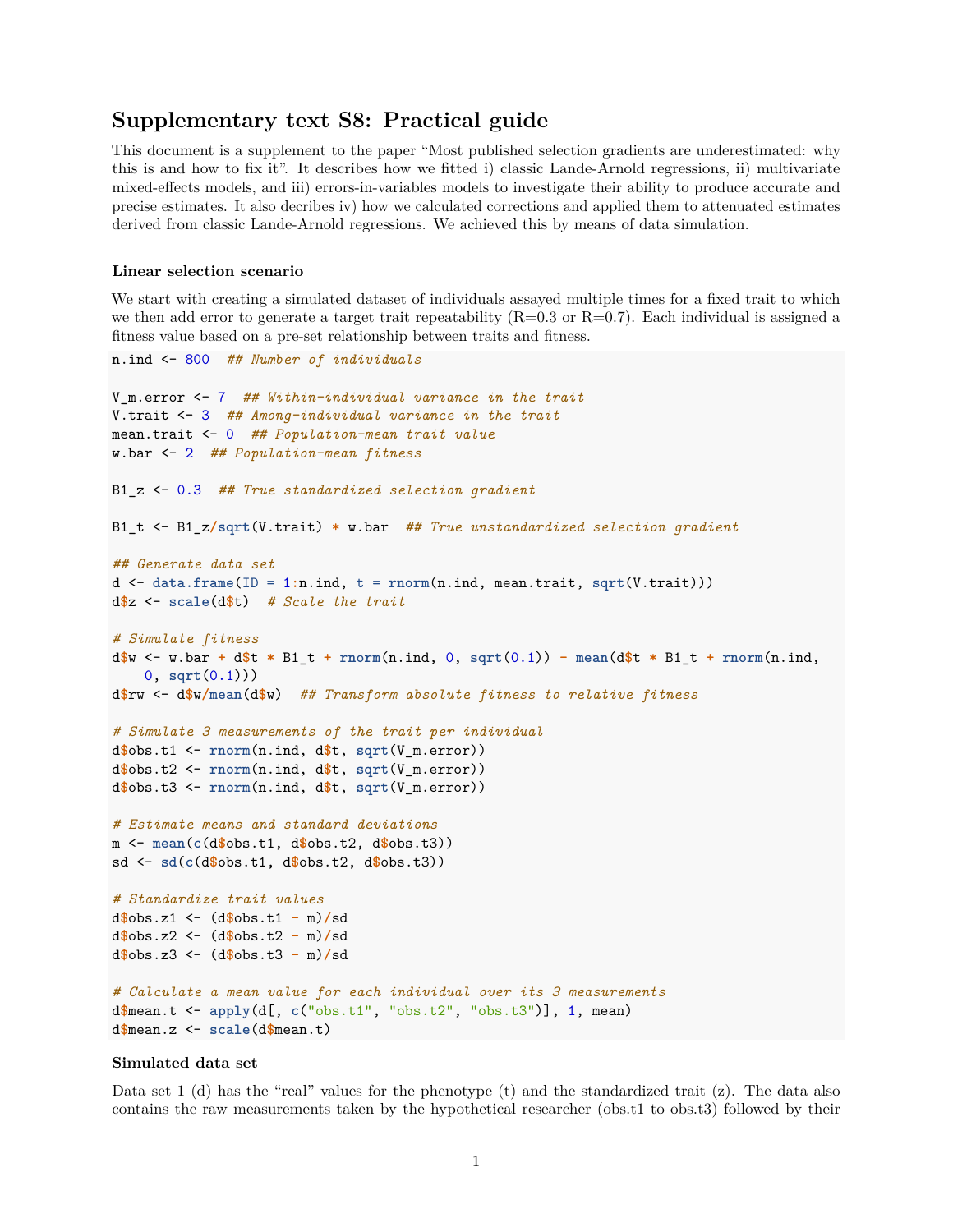# **Supplementary text S8: Practical guide**

This document is a supplement to the paper "Most published selection gradients are underestimated: why this is and how to fix it". It describes how we fitted i) classic Lande-Arnold regressions, ii) multivariate mixed-effects models, and iii) errors-in-variables models to investigate their ability to produce accurate and precise estimates. It also decribes iv) how we calculated corrections and applied them to attenuated estimates derived from classic Lande-Arnold regressions. We achieved this by means of data simulation.

## **Linear selection scenario**

We start with creating a simulated dataset of individuals assayed multiple times for a fixed trait to which we then add error to generate a target trait repeatability  $(R=0.3 \text{ or } R=0.7)$ . Each individual is assigned a fitness value based on a pre-set relationship between traits and fitness.

```
n.ind <- 800 ## Number of individuals
V_m.error <- 7 ## Within-individual variance in the trait
V.trait <- 3 ## Among-individual variance in the trait
mean.trait <- 0 ## Population-mean trait value
w.bar <- 2 ## Population-mean fitness
B1_z <- 0.3 ## True standardized selection gradient
B1_t <- B1_z/sqrt(V.trait) * w.bar ## True unstandardized selection gradient
## Generate data set
d <- data.frame(ID = 1:n.ind, t = rnorm(n.ind, mean.trait, sqrt(V.trait)))
d$z <- scale(d$t) # Scale the trait
# Simulate fitness
d$w <- w.bar + d$t * B1_t + rnorm(n.ind, 0, sqrt(0.1)) - mean(d$t * B1_t + rnorm(n.ind,
   0, sqrt(0.1)))
d$rw <- d$w/mean(d$w) ## Transform absolute fitness to relative fitness
# Simulate 3 measurements of the trait per individual
d$obs.t1 <- rnorm(n.ind, d$t, sqrt(V_m.error))
d$obs.t2 <- rnorm(n.ind, d$t, sqrt(V_m.error))
d$obs.t3 <- rnorm(n.ind, d$t, sqrt(V_m.error))
# Estimate means and standard deviations
m <- mean(c(d$obs.t1, d$obs.t2, d$obs.t3))
sd <- sd(c(d$obs.t1, d$obs.t2, d$obs.t3))
# Standardize trait values
d$obs.z1 <- (d$obs.t1 - m)/sd
d$obs.z2 <- (d$obs.t2 - m)/sd
d$obs.z3 <- (d$obs.t3 - m)/sd
# Calculate a mean value for each individual over its 3 measurements
d$mean.t <- apply(d[, c("obs.t1", "obs.t2", "obs.t3")], 1, mean)
d$mean.z <- scale(d$mean.t)
```
## **Simulated data set**

Data set  $1$  (d) has the "real" values for the phenotype (t) and the standardized trait (z). The data also contains the raw measurements taken by the hypothetical researcher (obs.t1 to obs.t3) followed by their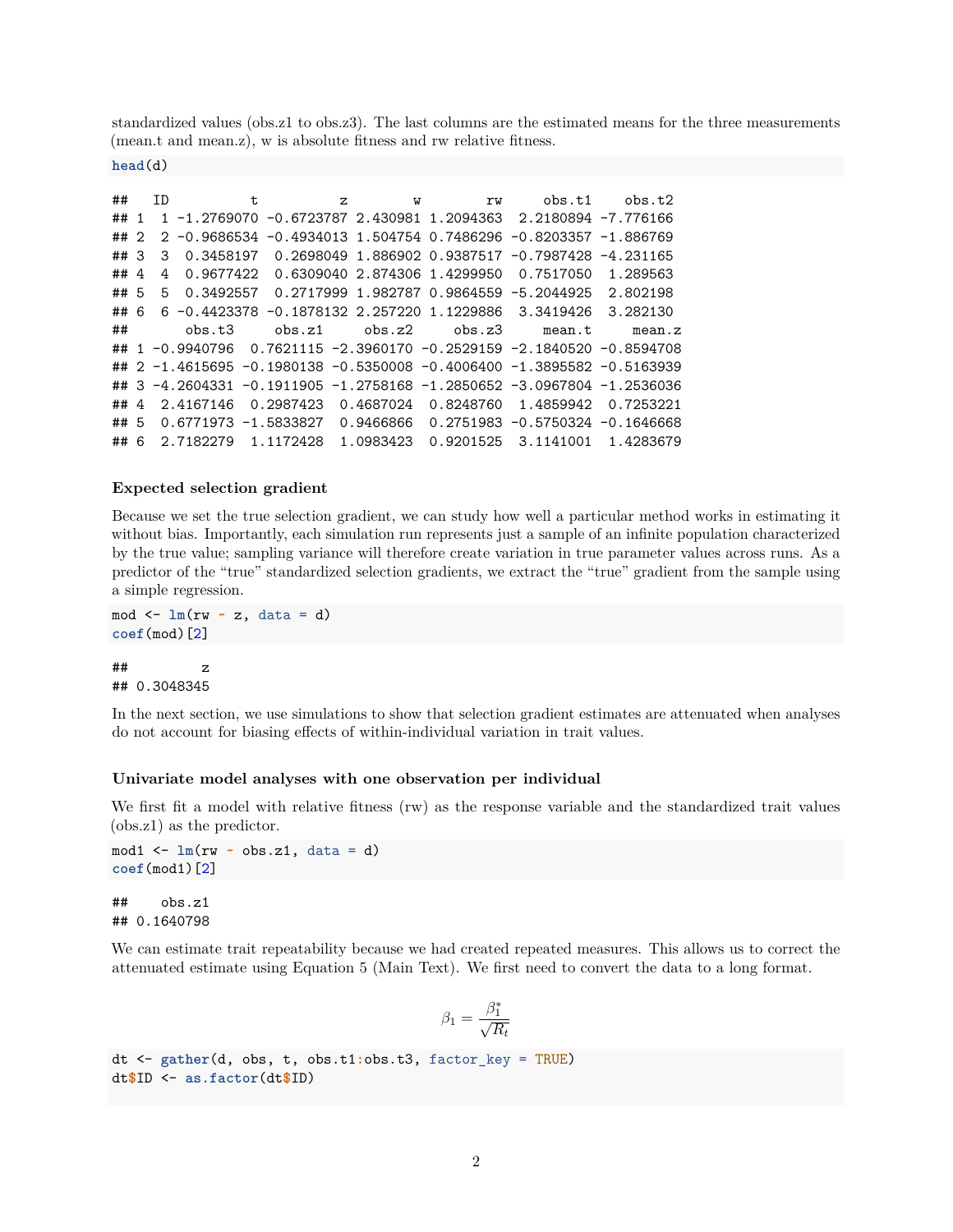standardized values (obs.z1 to obs.z3). The last columns are the estimated means for the three measurements (mean.t and mean.z), w is absolute fitness and rw relative fitness.

**head**(d)

| ##   |                | ΙD |                      | t. |           | $Z_{\cdot}$ | W                            | rw      | obs.t1                                                                | obs.t2    |
|------|----------------|----|----------------------|----|-----------|-------------|------------------------------|---------|-----------------------------------------------------------------------|-----------|
| ##   | $\overline{1}$ |    |                      |    |           |             |                              |         | 1 -1.2769070 -0.6723787 2.430981 1.2094363 2.2180894 -7.776166        |           |
| ##2  |                |    |                      |    |           |             |                              |         | 2 -0.9686534 -0.4934013 1.504754 0.7486296 -0.8203357 -1.886769       |           |
| ##3  |                | 3  | 0.3458197            |    |           |             |                              |         | $0.2698049$ 1.886902 0.9387517 -0.7987428 -4.231165                   |           |
| ##4  |                | 4  | 0.9677422            |    |           |             | 0.6309040 2.874306 1.4299950 |         | 0.7517050                                                             | 1.289563  |
| ## 5 |                | 5. | 0.3492557            |    |           |             |                              |         |                                                                       | 2.802198  |
| ## 6 |                |    | 6 -0.4423378         |    |           |             |                              |         | $-0.1878132$ 2.257220 1.1229886 3.3419426                             | 3.282130  |
| ##   |                |    | obs.t.3              |    | obs. z1   |             | obs. z2                      | obs. z3 | mean.t                                                                | mean.z    |
| ##   |                |    | 1 -0.9940796         |    |           |             |                              |         | 0.7621115 -2.3960170 -0.2529159 -2.1840520 -0.8594708                 |           |
| ##   |                |    |                      |    |           |             |                              |         | $2 -1.4615695 -0.1980138 -0.5350008 -0.4006400 -1.3895582 -0.5163939$ |           |
| ##   | 3              |    |                      |    |           |             |                              |         | $-4.2604331 -0.1911905 -1.2758168 -1.2850652 -3.0967804 -1.2536036$   |           |
| ##4  |                |    | 2.4167146            |    | 0.2987423 |             | 0.4687024                    |         | 0.8248760 1.4859942                                                   | 0.7253221 |
| ##5  |                |    | 0.6771973 -1.5833827 |    |           |             | 0.9466866                    |         | $0.2751983 - 0.5750324 - 0.1646668$                                   |           |
| ## 6 |                |    | 2.7182279            |    |           |             |                              |         | 3.1141001                                                             | 1.4283679 |

## **Expected selection gradient**

Because we set the true selection gradient, we can study how well a particular method works in estimating it without bias. Importantly, each simulation run represents just a sample of an infinite population characterized by the true value; sampling variance will therefore create variation in true parameter values across runs. As a predictor of the "true" standardized selection gradients, we extract the "true" gradient from the sample using a simple regression.

```
mod <- lm(rw ~ z, data = d)
coef(mod)[2]
```
 $##$  z ## 0.3048345

In the next section, we use simulations to show that selection gradient estimates are attenuated when analyses do not account for biasing effects of within-individual variation in trait values.

#### **Univariate model analyses with one observation per individual**

We first fit a model with relative fitness (rw) as the response variable and the standardized trait values (obs.z1) as the predictor.

mod1 <- **lm**(rw **~** obs.z1, data = d) **coef**(mod1)[2]

## obs.z1 ## 0.1640798

We can estimate trait repeatability because we had created repeated measures. This allows us to correct the attenuated estimate using Equation 5 (Main Text). We first need to convert the data to a long format.

$$
\beta_1 = \frac{\beta_1^*}{\sqrt{R_t}}
$$

```
dt <- gather(d, obs, t, obs.t1:obs.t3, factor_key = TRUE)
dt$ID <- as.factor(dt$ID)
```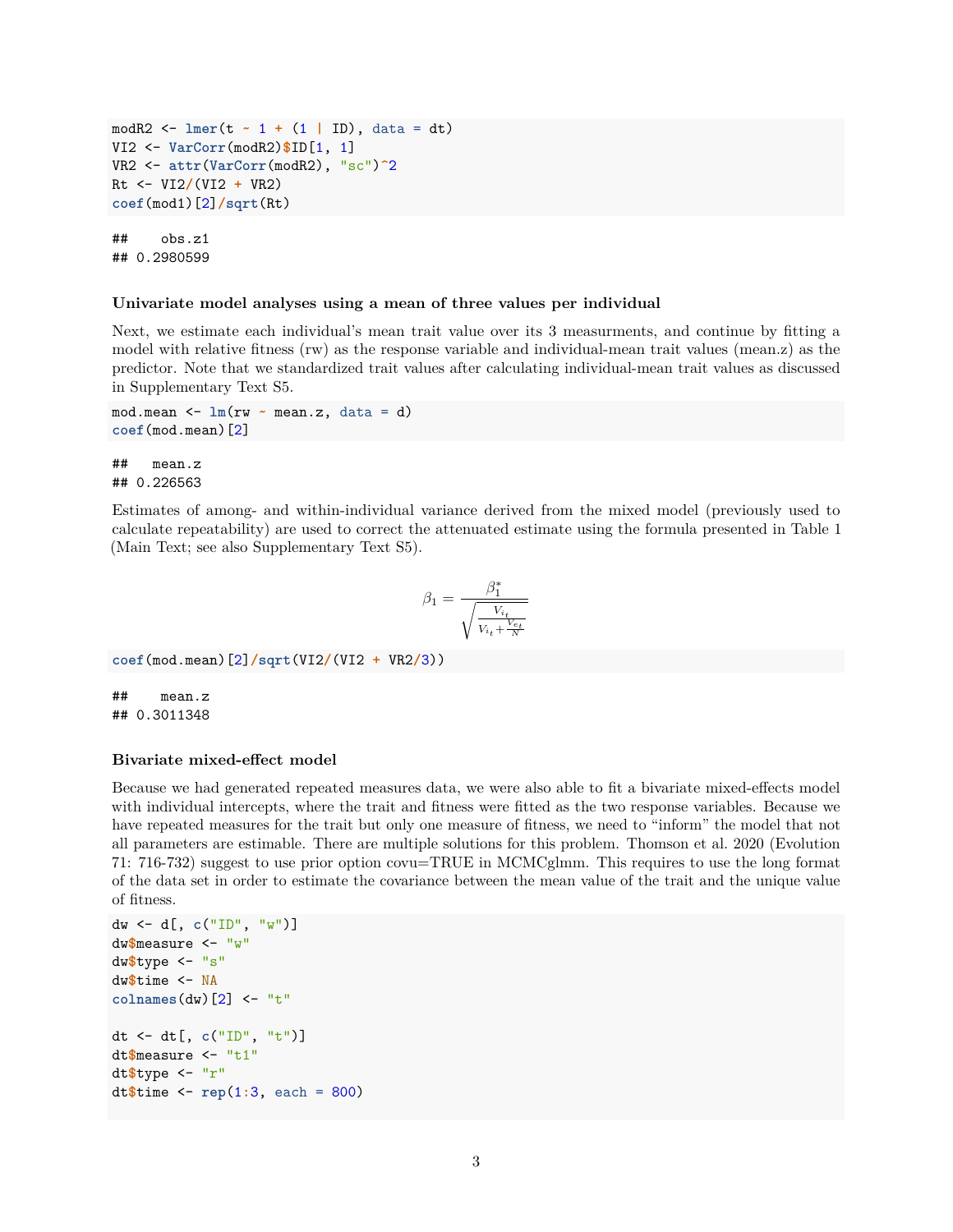```
modR2 <- lmer(t ~ 1 + (1 | ID), data = dt)
VI2 <- VarCorr(modR2)$ID[1, 1]
VR2 <- attr(VarCorr(modR2), "sc")^2
Rt <- VI2/(VI2 + VR2)
coef(mod1)[2]/sqrt(Rt)
## obs.z1
```
## 0.2980599

#### **Univariate model analyses using a mean of three values per individual**

Next, we estimate each individual's mean trait value over its 3 measurments, and continue by fitting a model with relative fitness (rw) as the response variable and individual-mean trait values (mean.z) as the predictor. Note that we standardized trait values after calculating individual-mean trait values as discussed in Supplementary Text S5.

```
mod.mean <- lm(rw ~ mean.z, data = d)
coef(mod.mean)[2]
```

```
## mean.z
## 0.226563
```
Estimates of among- and within-individual variance derived from the mixed model (previously used to calculate repeatability) are used to correct the attenuated estimate using the formula presented in Table 1 (Main Text; see also Supplementary Text S5).

$$
\beta_1 = \frac{\beta_1^*}{\sqrt{\frac{V_{i_t}}{V_{i_t} + \frac{V_{e_t}}{N}}}}
$$

```
coef(mod.mean)[2]/sqrt(VI2/(VI2 + VR2/3))
```
## mean.z ## 0.3011348

## **Bivariate mixed-effect model**

Because we had generated repeated measures data, we were also able to fit a bivariate mixed-effects model with individual intercepts, where the trait and fitness were fitted as the two response variables. Because we have repeated measures for the trait but only one measure of fitness, we need to "inform" the model that not all parameters are estimable. There are multiple solutions for this problem. Thomson et al. 2020 (Evolution 71: 716-732) suggest to use prior option covu=TRUE in MCMCglmm. This requires to use the long format of the data set in order to estimate the covariance between the mean value of the trait and the unique value of fitness.

```
dw <- d[, c("ID", "w")]
dw$measure <- "w"
dw$type <- "s"
dw$time <- NA
colnames(dw)[2] <- "t"
dt <- dt[, c("ID", "t")]
dt$measure <- "t1"
dt$type <- "r"
dt$time <- rep(1:3, each = 800)
```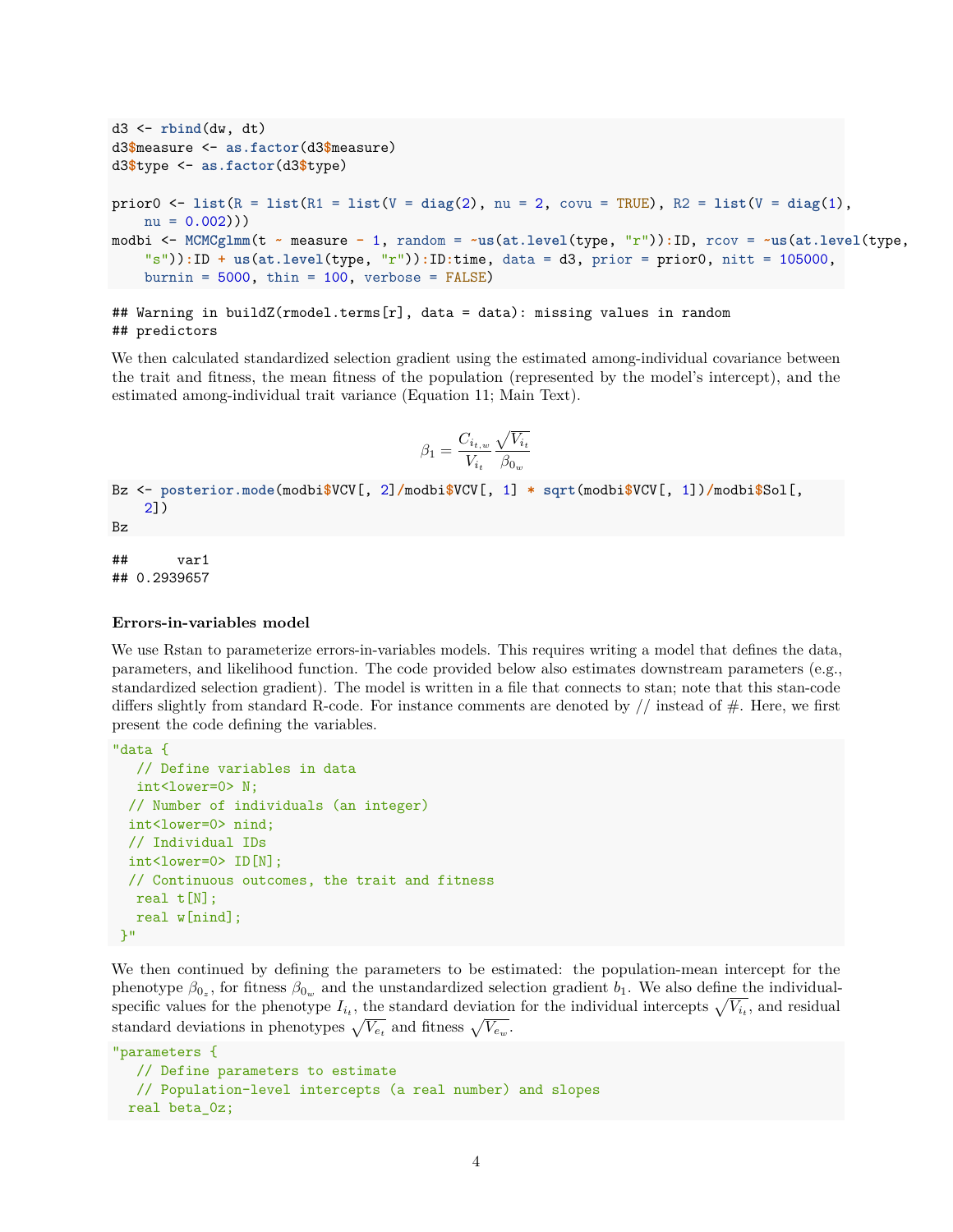```
d3 <- rbind(dw, dt)
d3$measure <- as.factor(d3$measure)
d3$type <- as.factor(d3$type)
prior0 <- list(R = list(R1 = list(V = diag(2), nu = 2, covu = TRUE), R2 = list(V = diag(1),
   nu = 0.002))modbi <- MCMCglmm(t ~ measure - 1, random = ~us(at.level(type, "r")):ID, rcov = ~us(at.level(type,
    "s")):ID + us(at.level(type, "r")):ID:time, data = d3, prior = prior0, nitt = 105000,
    burnin = 5000, thin = 100, verbose = FALSE)
```

```
## Warning in buildZ(rmodel.terms[r], data = data): missing values in random
## predictors
```
We then calculated standardized selection gradient using the estimated among-individual covariance between the trait and fitness, the mean fitness of the population (represented by the model's intercept), and the estimated among-individual trait variance (Equation 11; Main Text).

$$
\beta_1 = \frac{C_{i_{t,w}}}{V_{i_t}} \frac{\sqrt{V_{i_t}}}{\beta_{0_w}}
$$

```
Bz <- posterior.mode(modbi$VCV[, 2]/modbi$VCV[, 1] * sqrt(modbi$VCV[, 1])/modbi$Sol[,
    2])
Bz
```
## var1 ## 0.2939657

## **Errors-in-variables model**

We use Rstan to parameterize errors-in-variables models. This requires writing a model that defines the data, parameters, and likelihood function. The code provided below also estimates downstream parameters (e.g., standardized selection gradient). The model is written in a file that connects to stan; note that this stan-code differs slightly from standard R-code. For instance comments are denoted by  $\frac{1}{1}$  instead of  $\frac{1}{1}$ . Here, we first present the code defining the variables.

```
"data {
  // Define variables in data
  int<lower=0> N;
 // Number of individuals (an integer)
 int<lower=0> nind;
 // Individual IDs
 int<lower=0> ID[N];
 // Continuous outcomes, the trait and fitness
  real t[N];
  real w[nind];
}"
```
We then continued by defining the parameters to be estimated: the population-mean intercept for the phenotype  $\beta_{0_z}$ , for fitness  $\beta_{0_w}$  and the unstandardized selection gradient  $b_1$ . We also define the individualspecific values for the phenotype  $I_{i_t}$ , the standard deviation for the individual intercepts  $\sqrt{V_{i_t}}$ , and residual standard deviations in phenotypes  $\sqrt{V_{e_t}}$  and fitness  $\sqrt{V_{e_w}}$ .

```
"parameters {
  // Define parameters to estimate
  // Population-level intercepts (a real number) and slopes
 real beta_0z;
```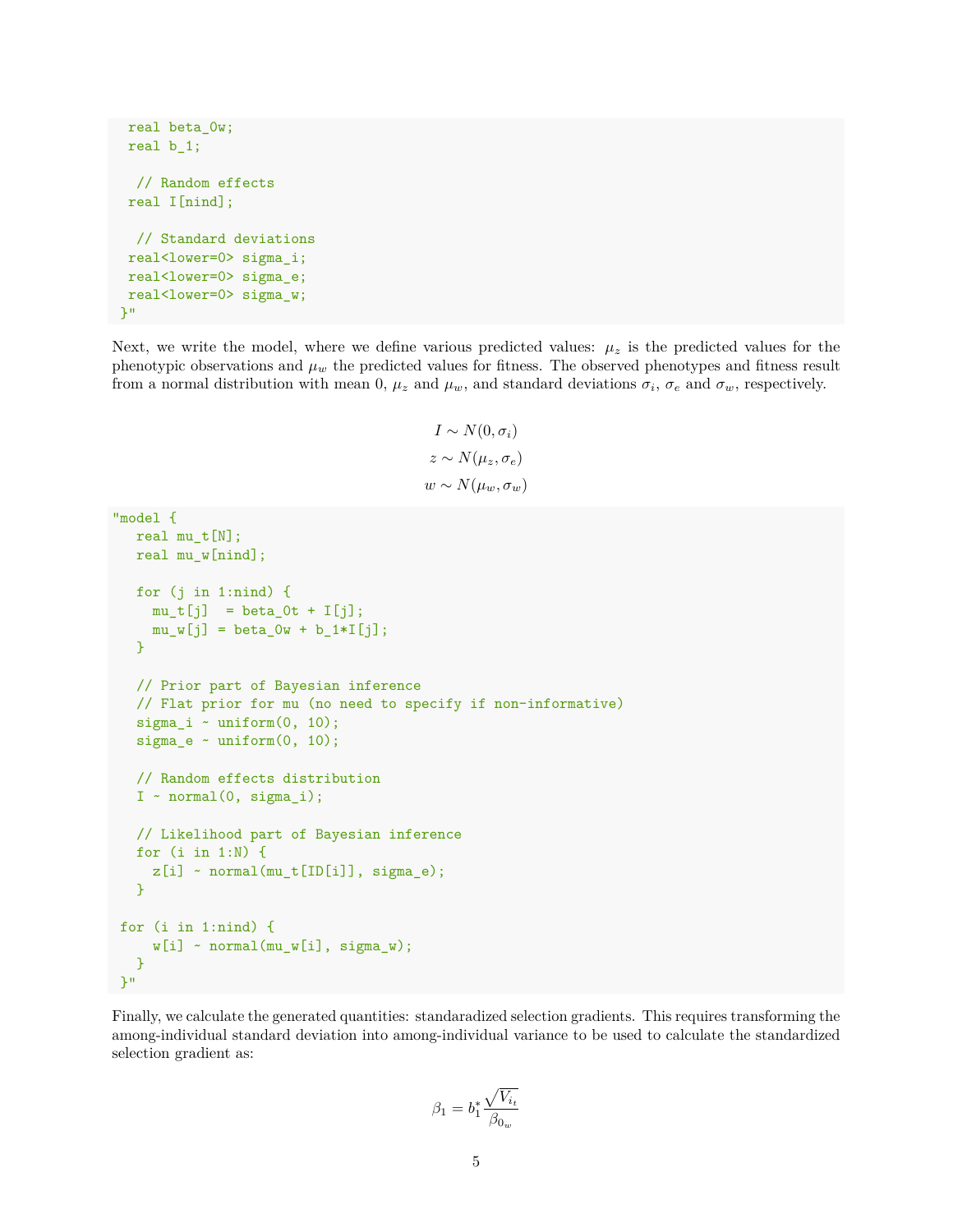```
real beta_0w;
 real b_1;
 // Random effects
 real I[nind];
  // Standard deviations
 real<lower=0> sigma_i;
 real<lower=0> sigma_e;
 real<lower=0> sigma_w;
}"
```
Next, we write the model, where we define various predicted values:  $\mu_z$  is the predicted values for the phenotypic observations and  $\mu_w$  the predicted values for fitness. The observed phenotypes and fitness result from a normal distribution with mean 0,  $\mu_z$  and  $\mu_w$ , and standard deviations  $\sigma_i$ ,  $\sigma_e$  and  $\sigma_w$ , respectively.

```
I \sim N(0, \sigma_i)z \sim N(\mu_z, \sigma_e)w ∼ N(μ<sub>w</sub>, σ<sub>w</sub>)
```

```
"model {
  real mu_t[N];
  real mu_w[nind];
  for (j in 1:nind) {
    mu_t[j] = beta_0t + I[j];
    mu_w[j] = beta_0w + b_1 * I[j];}
  // Prior part of Bayesian inference
  // Flat prior for mu (no need to specify if non-informative)
  sigma_i ~ uniform(0, 10);
  sigma_e \sim uniform(0, 10);
  // Random effects distribution
  I \sim normal(0, sigma_i);
  // Likelihood part of Bayesian inference
  for (i in 1:N) {
    z[i] ~ normal(mu_t[ID[i]], sigma_e);
  }
for (i in 1:nind) {
     w[i] ~ normal(mu_w[i], sigma_w);
  }
}"
```
Finally, we calculate the generated quantities: standaradized selection gradients. This requires transforming the among-individual standard deviation into among-individual variance to be used to calculate the standardized selection gradient as:

$$
\beta_1=b_1^*\frac{\sqrt{V_{i_t}}}{\beta_{0_w}}
$$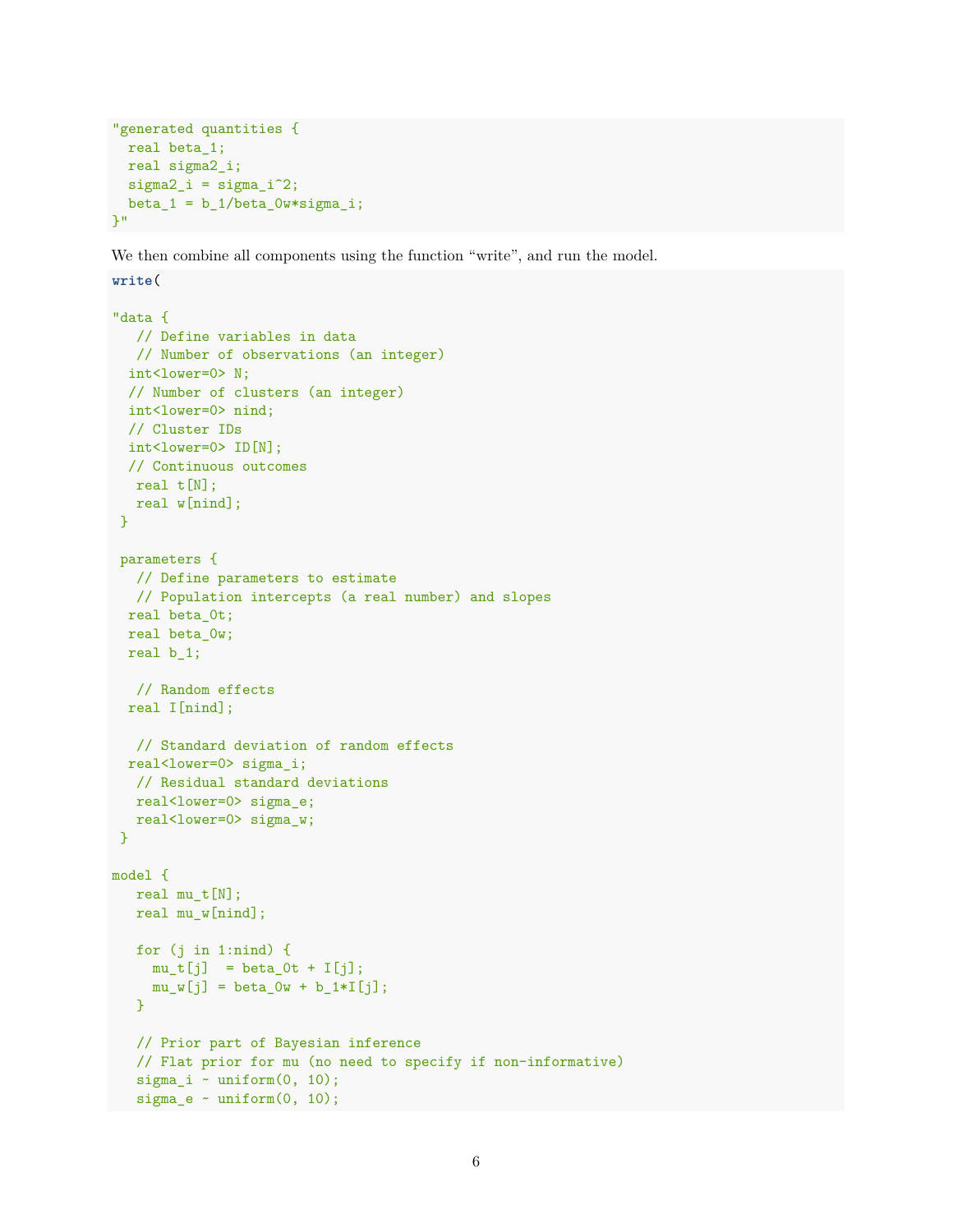```
"generated quantities {
 real beta_1;
 real sigma2_i;
 signa2_i = signa_i^2;beta_1 = b_1/beta_0w*sigma_i;}"
```
We then combine all components using the function "write", and run the model.

```
write(
"data {
  // Define variables in data
  // Number of observations (an integer)
 int<lower=0> N;
 // Number of clusters (an integer)
 int<lower=0> nind;
 // Cluster IDs
 int<lower=0> ID[N];
 // Continuous outcomes
  real t[N];
  real w[nind];
}
parameters {
  // Define parameters to estimate
  // Population intercepts (a real number) and slopes
 real beta_0t;
 real beta_0w;
 real b_1;
  // Random effects
 real I[nind];
  // Standard deviation of random effects
 real<lower=0> sigma i;
  // Residual standard deviations
  real<lower=0> sigma_e;
  real<lower=0> sigma_w;
}
model {
  real mu_t[N];
  real mu_w[nind];
  for (j in 1:nind) {
    mu_t[j] = beta_0t + I[j];
    mu_w[j] = beta_0w + b_1 * I[j];}
  // Prior part of Bayesian inference
  // Flat prior for mu (no need to specify if non-informative)
  sigma_i \sim uniform(0, 10);
  sigma_e \sim uniform(0, 10);
```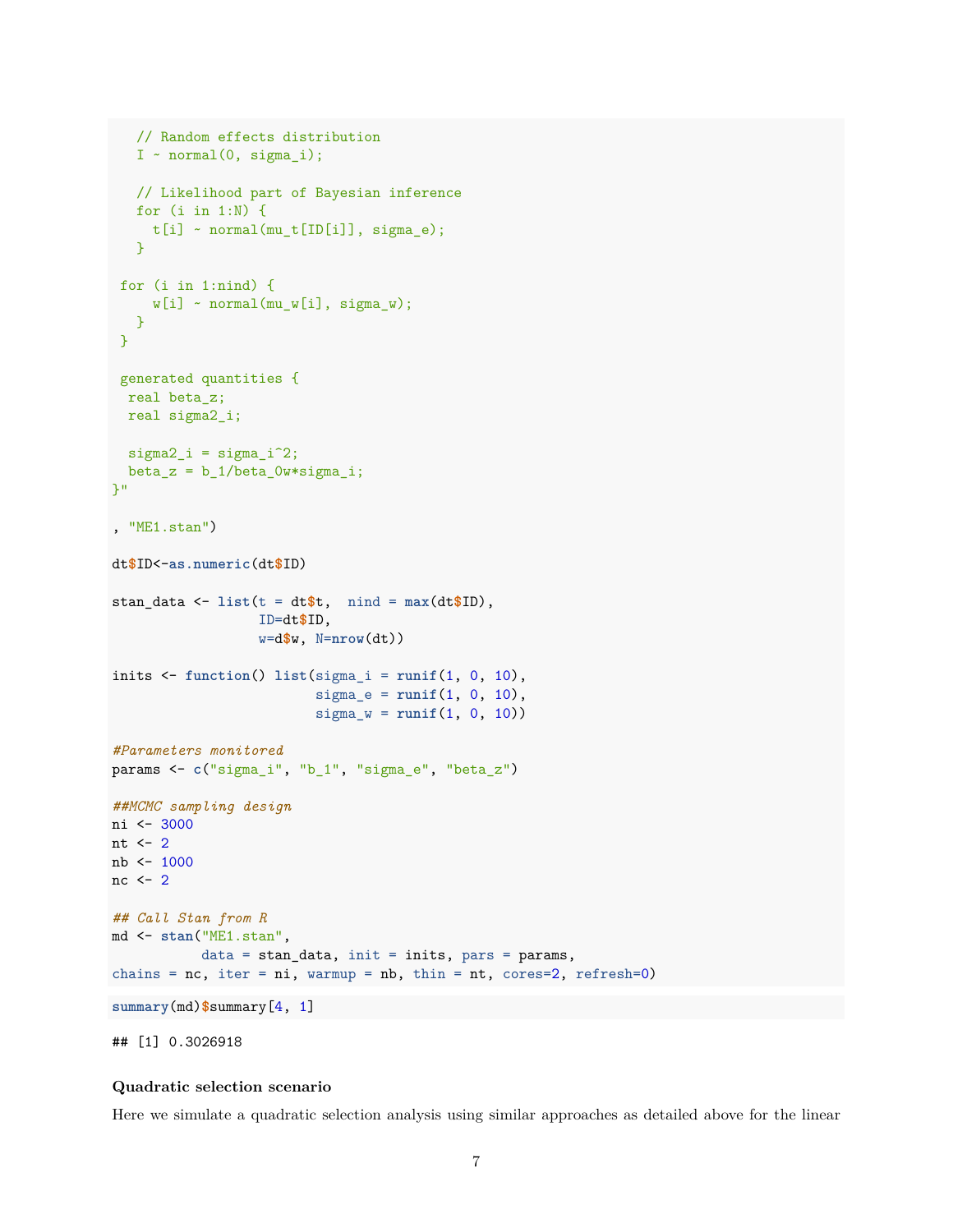```
// Random effects distribution
   I \sim normal(0, \text{sigma}_i);
   // Likelihood part of Bayesian inference
   for (i in 1:N) {
    t[i] ~ normal(mu_t[ID[i]], sigma_e);
   }
 for (i in 1:nind) {
    w[i] ~ normal(mu_w[i], sigma_w);
   }
}
 generated quantities {
 real beta_z;
 real sigma2_i;
 signa2_i = signa_i^2;beta_z = b_1/beta_0w*sigma_i;\mathcal{V}"
, "ME1.stan")
dt$ID<-as.numeric(dt$ID)
stan_data <- list(t = dt$t, nind = max(dt$ID),
                  ID=dt$ID,
                   w=d$w, N=nrow(dt))
inits <- function() list(sigma_i = runif(1, 0, 10),
                          sigma_e = runif(1, 0, 10),
                          signa_w = runif(1, 0, 10))#Parameters monitored
params <- c("sigma_i", "b_1", "sigma_e", "beta_z")
##MCMC sampling design
ni <- 3000
nt \leftarrow 2
nb <- 1000
nc \leftarrow 2## Call Stan from R
md <- stan("ME1.stan",
           data = stan_data, init = inits, pars = params,
chains = nc, iter = ni, warmup = nb, thin = nt, cores=2, refresh=0)summary(md)$summary[4, 1]
```
## [1] 0.3026918

## **Quadratic selection scenario**

Here we simulate a quadratic selection analysis using similar approaches as detailed above for the linear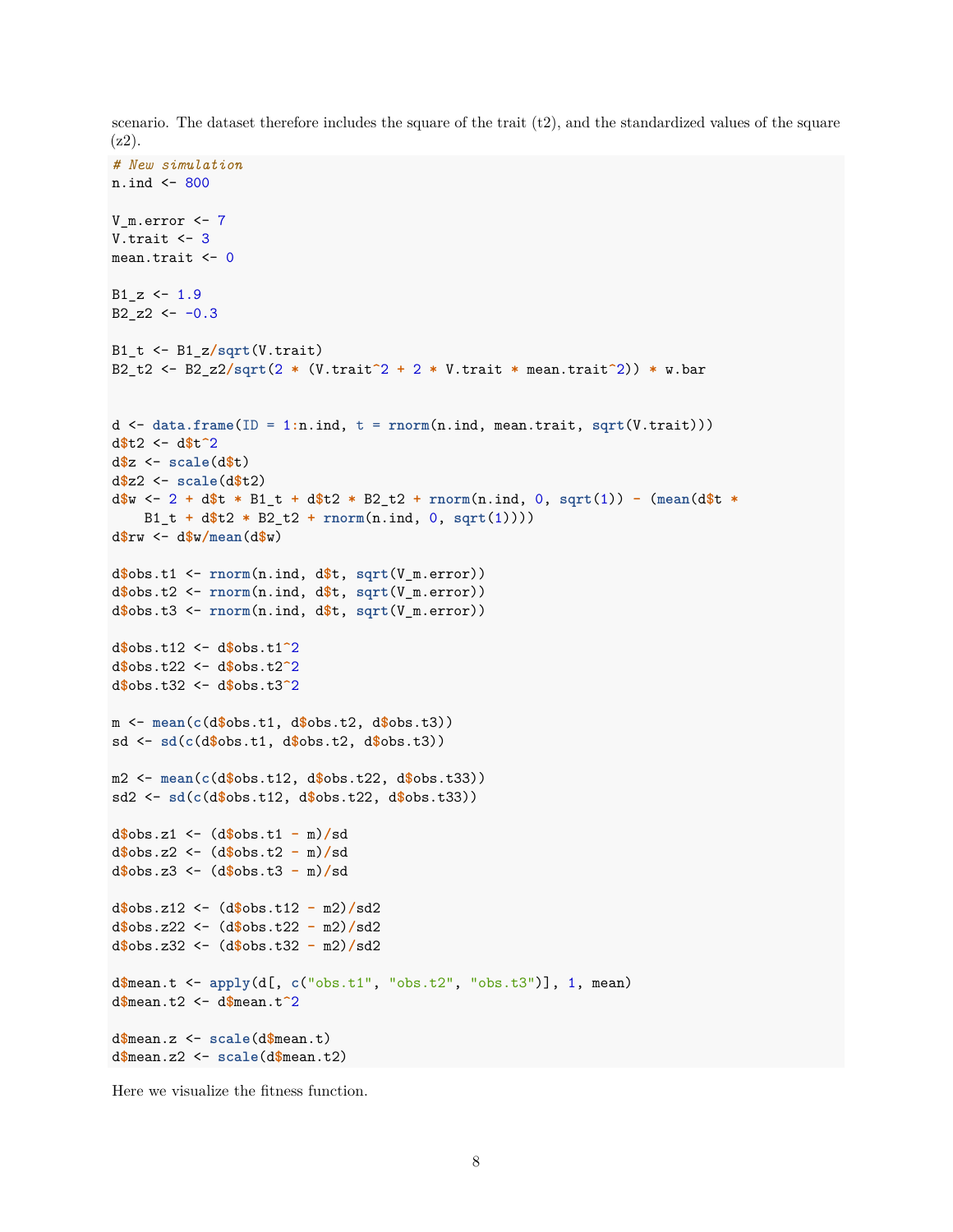scenario. The dataset therefore includes the square of the trait  $(t2)$ , and the standardized values of the square (z2).

```
# New simulation
n.ind <- 800
V_m.error <- 7
V.trait \leftarrow 3
mean.trait <- 0
B1_z < -1.9B2_zz2 \leftarrow -0.3B1_t <- B1_z/sqrt(V.trait)
B2_t2 <- B2_z2/sqrt(2 * (V.trait^2 + 2 * V.trait * mean.trait^2)) * w.bar
d <- data.frame(ID = 1:n.ind, t = rnorm(n.ind, mean.trait, sqrt(V.trait)))
d$t2 <- d$t^2
d$z <- scale(d$t)
d$z2 <- scale(d$t2)
d$w <- 2 + d$t * B1_t + d$t2 * B2_t2 + rnorm(n.ind, 0, sqrt(1)) - (mean(d$t *
    B1_t + d$t2 * B2_t2 + rnorm(n.ind, 0, sqrt(1))))
d$rw <- d$w/mean(d$w)
d$obs.t1 <- rnorm(n.ind, d$t, sqrt(V_m.error))
d$obs.t2 <- rnorm(n.ind, d$t, sqrt(V_m.error))
d$obs.t3 <- rnorm(n.ind, d$t, sqrt(V_m.error))
d$obs.t12 <- d$obs.t1^2
d$obs.t22 <- d$obs.t2^2
d$obs.t32 <- d$obs.t3^2
m <- mean(c(d$obs.t1, d$obs.t2, d$obs.t3))
sd <- sd(c(d$obs.t1, d$obs.t2, d$obs.t3))
m2 <- mean(c(d$obs.t12, d$obs.t22, d$obs.t33))
sd2 <- sd(c(d$obs.t12, d$obs.t22, d$obs.t33))
d$obs.z1 <- (d$obs.t1 - m)/sd
d$obs.z2 <- (d$obs.t2 - m)/sd
d$obs.z3 <- (d$obs.t3 - m)/sd
d$obs.z12 <- (d$obs.t12 - m2)/sd2
d$obs.z22 <- (d$obs.t22 - m2)/sd2
d$obs.z32 <- (d$obs.t32 - m2)/sd2
d$mean.t <- apply(d[, c("obs.t1", "obs.t2", "obs.t3")], 1, mean)
d$mean.t2 <- d$mean.t^2
d$mean.z <- scale(d$mean.t)
d$mean.z2 <- scale(d$mean.t2)
```
Here we visualize the fitness function.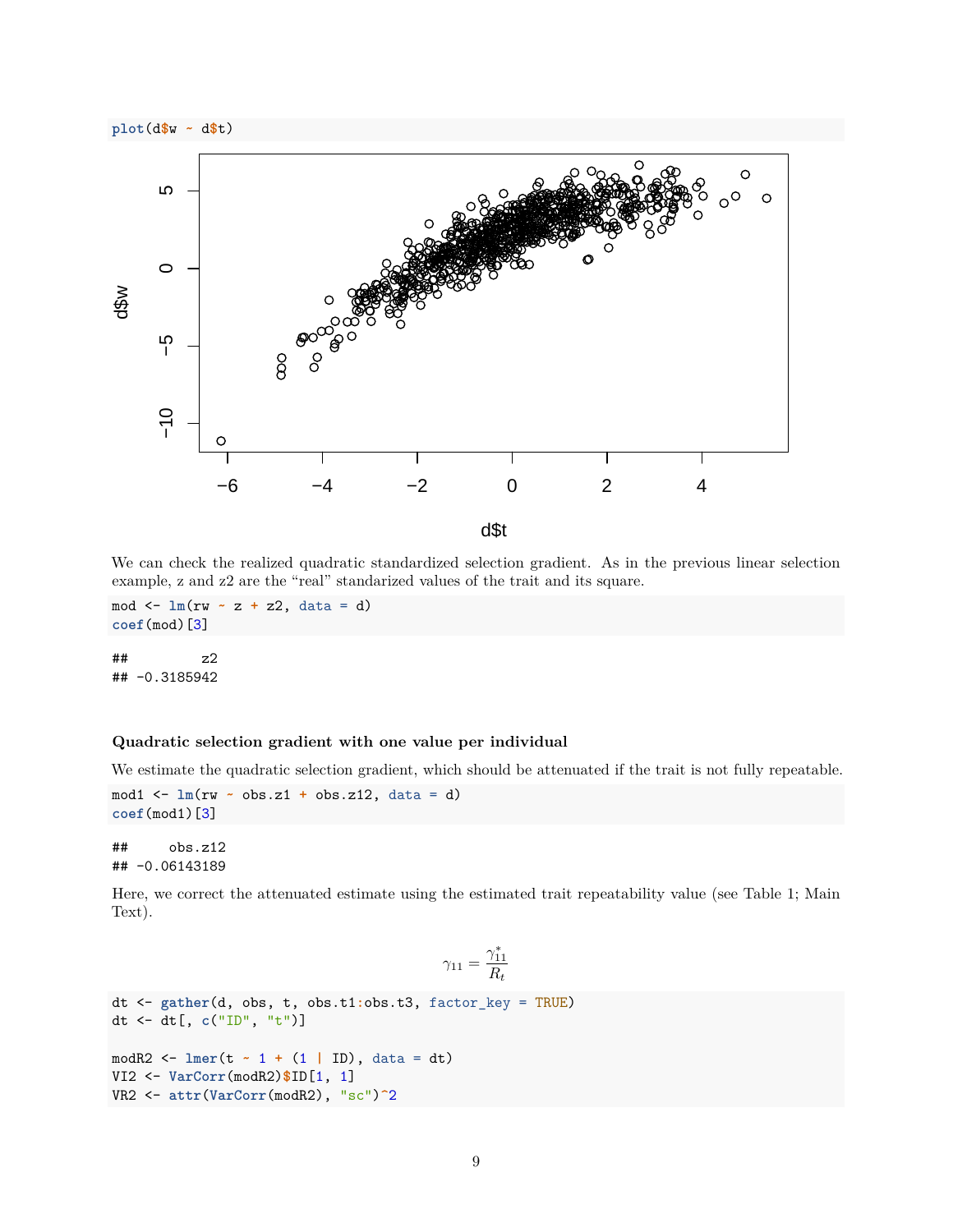

We can check the realized quadratic standardized selection gradient. As in the previous linear selection example, z and z2 are the "real" standarized values of the trait and its square.

mod <- **lm**(rw **~** z **+** z2, data = d) **coef**(mod)[3]

## z2 ## -0.3185942

## **Quadratic selection gradient with one value per individual**

We estimate the quadratic selection gradient, which should be attenuated if the trait is not fully repeatable.

```
mod1 <- lm(rw ~ obs.z1 + obs.z12, data = d)
coef(mod1)[3]
```

```
## obs.z12
## -0.06143189
```
Here, we correct the attenuated estimate using the estimated trait repeatability value (see Table 1; Main Text).

$$
\gamma_{11} = \frac{\gamma_{11}^*}{R_t}
$$

```
dt <- gather(d, obs, t, obs.t1:obs.t3, factor_key = TRUE)
dt <- dt[, c("ID", "t")]
modR2 <- lmer(t ~ 1 + (1 | ID), data = dt)
VI2 <- VarCorr(modR2)$ID[1, 1]
VR2 <- attr(VarCorr(modR2), "sc")^2
```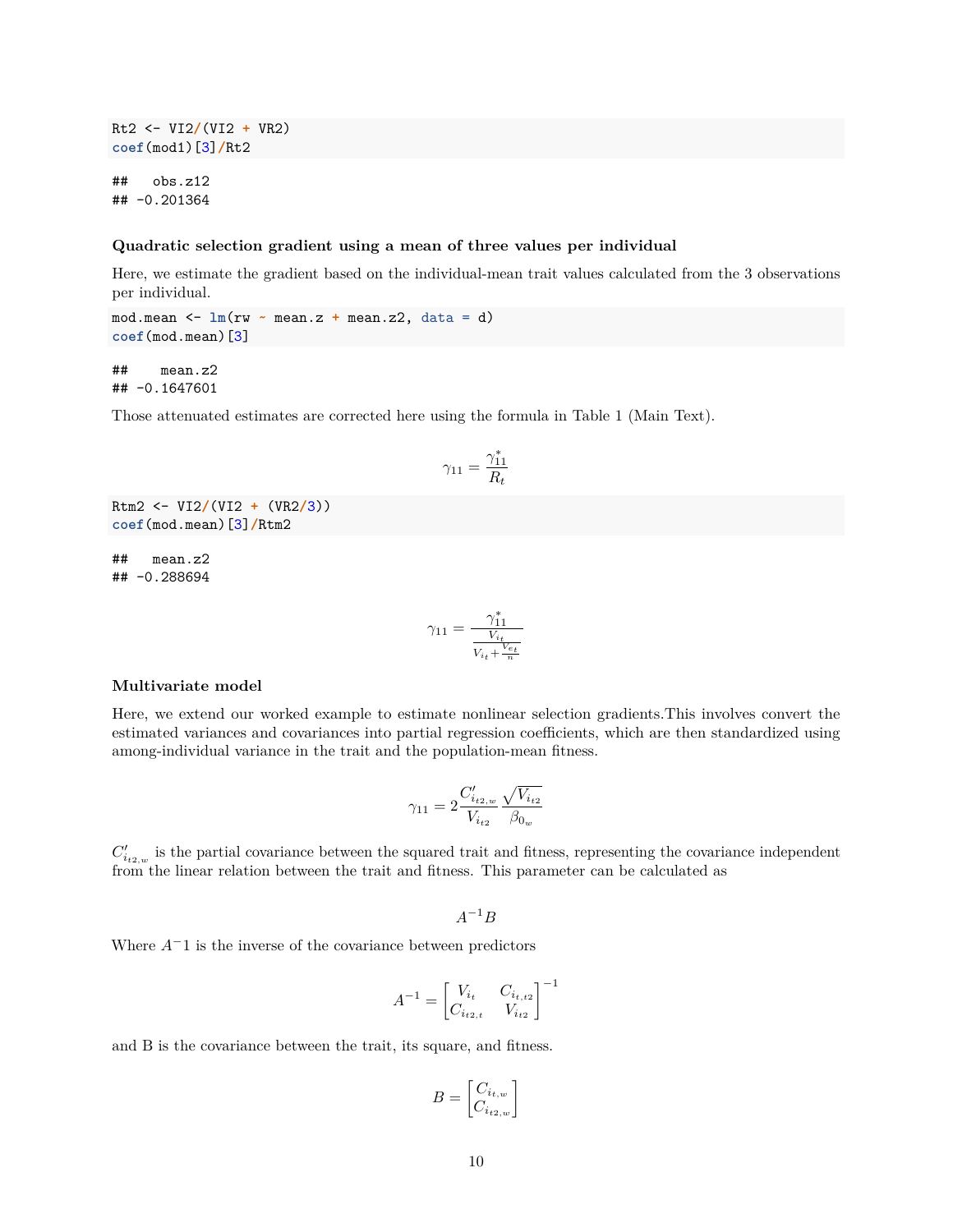Rt2 <- VI2**/**(VI2 **+** VR2) **coef**(mod1)[3]**/**Rt2

## obs.z12 ## -0.201364

#### **Quadratic selection gradient using a mean of three values per individual**

Here, we estimate the gradient based on the individual-mean trait values calculated from the 3 observations per individual.

mod.mean  $\leq - \ln(rw - \text{mean}.z + \text{mean}.z2, \text{ data} = d)$ **coef**(mod.mean)[3]

## mean.z2 ## -0.1647601

Those attenuated estimates are corrected here using the formula in Table 1 (Main Text).

$$
\gamma_{11}=\frac{\gamma_{11}^*}{R_t}
$$

Rtm2 <- VI2**/**(VI2 **+** (VR2**/**3)) **coef**(mod.mean)[3]**/**Rtm2

## mean.z2 ## -0.288694

$$
\gamma_{11}=\frac{\gamma_{11}^*}{\frac{V_{i_t}}{V_{i_t}+\frac{V_{e_t}}{n}}}
$$

#### **Multivariate model**

Here, we extend our worked example to estimate nonlinear selection gradients.This involves convert the estimated variances and covariances into partial regression coefficients, which are then standardized using among-individual variance in the trait and the population-mean fitness.

$$
\gamma_{11} = 2 \frac{C'_{i_{t2,w}}}{V_{i_{t2}}} \frac{\sqrt{V_{i_{t2}}}}{\beta_{0_w}}
$$

 $C'_{i_{t2,w}}$  is the partial covariance between the squared trait and fitness, representing the covariance independent from the linear relation between the trait and fitness. This parameter can be calculated as

 $A^{-1}B$ 

Where *A*<sup>−</sup>1 is the inverse of the covariance between predictors

$$
A^{-1} = \begin{bmatrix} V_{i_t} & C_{i_{t,t2}} \\ C_{i_{t2,t}} & V_{i_{t2}} \end{bmatrix}^{-1}
$$

and B is the covariance between the trait, its square, and fitness.

$$
B = \begin{bmatrix} C_{i_{t,w}} \\ C_{i_{t2,w}} \end{bmatrix}
$$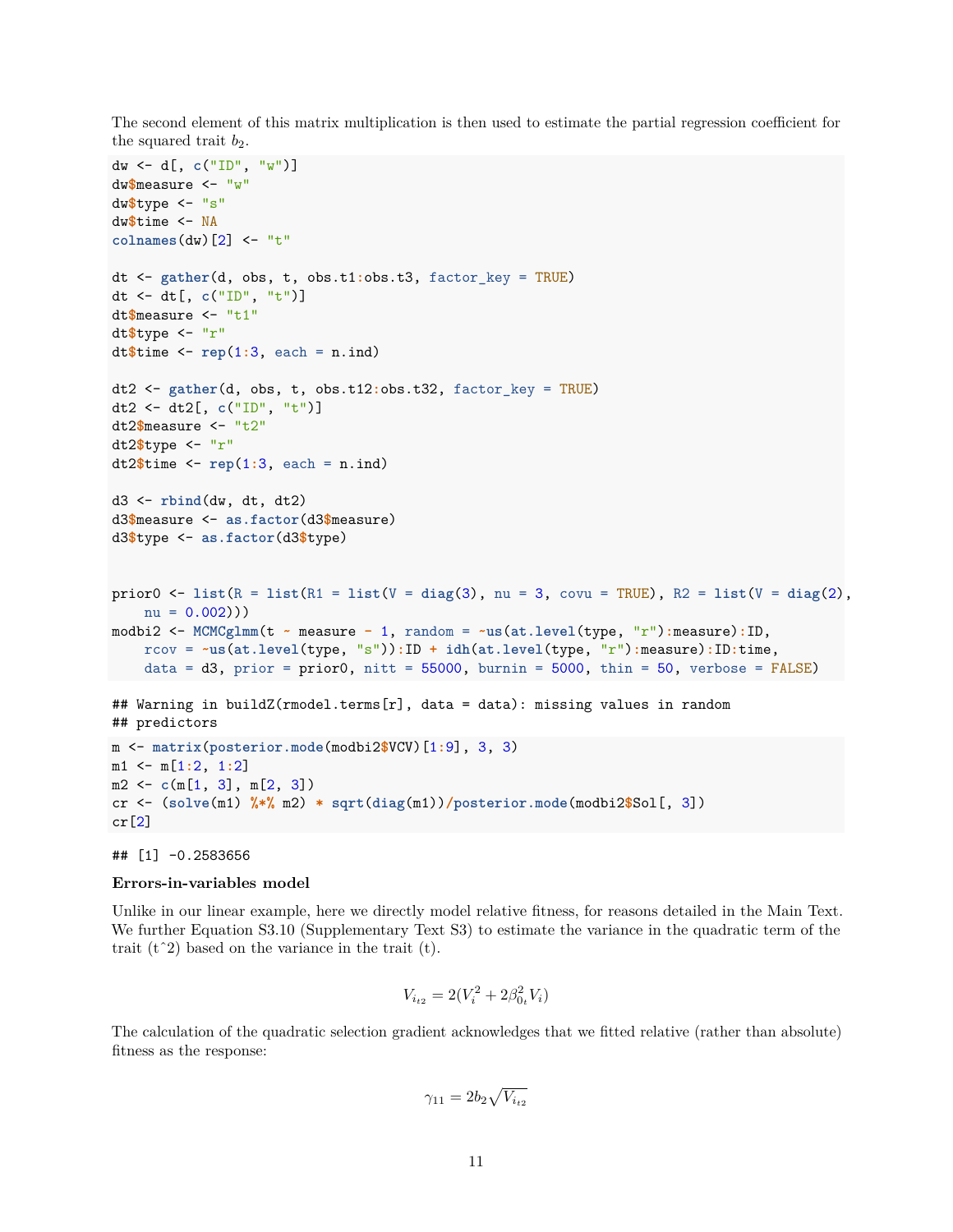The second element of this matrix multiplication is then used to estimate the partial regression coefficient for the squared trait  $b_2$ .

```
dw <- d[, c("ID", "w")]
dw$measure <- "w"
dw$type <- "s"
dw$time <- NA
colnames(dw)[2] <- "t"
dt <- gather(d, obs, t, obs.t1:obs.t3, factor_key = TRUE)
dt <- dt[, c("ID", "t")]
dt$measure <- "t1"
dt$type <- "r"
dt$time <- rep(1:3, each = n.ind)
dt2 <- gather(d, obs, t, obs.t12:obs.t32, factor_key = TRUE)
dt2 <- dt2[, c("ID", "t")]
dt2$measure <- "t2"
dt2$type <- "r"
dt2$time <- rep(1:3, each = n.ind)
d3 <- rbind(dw, dt, dt2)
d3$measure <- as.factor(d3$measure)
d3$type <- as.factor(d3$type)
prior0 <- list(R = list(R1 = list(V = diag(3), nu = 3, covu = TRUE), R2 = list(V = diag(2),
   nu = 0.002))modbi2 <- MCMCglmm(t ~ measure - 1, random = ~us(at.level(type, "r"):measure):ID,
   rcov = ~us(at.level(type, "s")):ID + idh(at.level(type, "r"):measure):ID:time,
    data = d3, prior = prior0, nitt = 55000, burnin = 5000, thin = 50, verbose = FALSE)
## Warning in buildZ(rmodel.terms[r], data = data): missing values in random
## predictors
m <- matrix(posterior.mode(modbi2$VCV)[1:9], 3, 3)
m1 <- m[1:2, 1:2]
m2 <- c(m[1, 3], m[2, 3])
cr <- (solve(m1) %*% m2) * sqrt(diag(m1))/posterior.mode(modbi2$Sol[, 3])
cr[2]
```
#### ## [1] -0.2583656

#### **Errors-in-variables model**

Unlike in our linear example, here we directly model relative fitness, for reasons detailed in the Main Text. We further Equation S3.10 (Supplementary Text S3) to estimate the variance in the quadratic term of the trait  $(t^2)$  based on the variance in the trait  $(t)$ .

$$
V_{i_{t2}} = 2(V_i^2 + 2\beta_{0_t}^2 V_i)
$$

The calculation of the quadratic selection gradient acknowledges that we fitted relative (rather than absolute) fitness as the response:

$$
\gamma_{11} = 2b_2 \sqrt{V_{i_{t2}}}
$$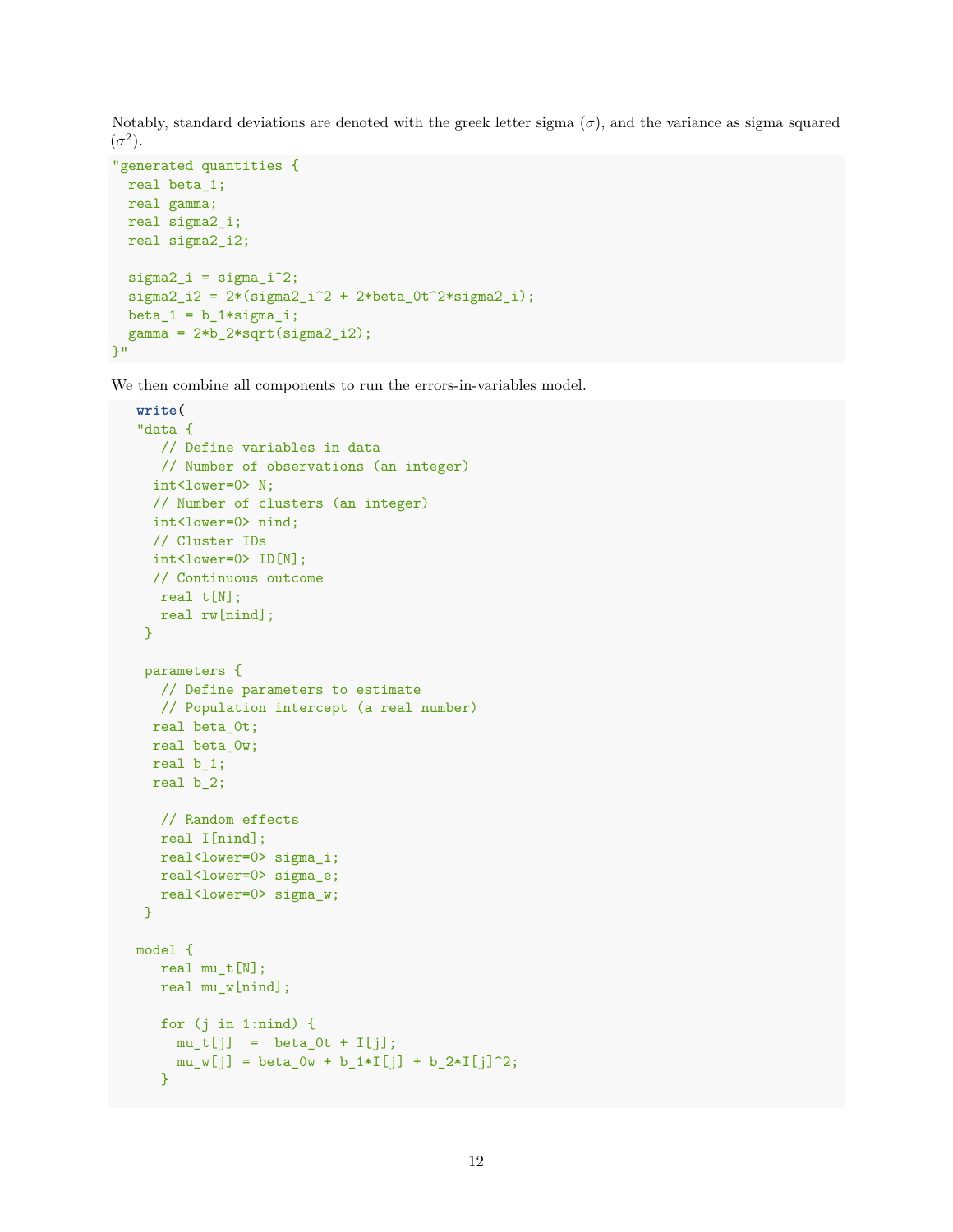Notably, standard deviations are denoted with the greek letter sigma  $(\sigma)$ , and the variance as sigma squared  $(\sigma^2)$ .

```
"generated quantities {
 real beta_1;
 real gamma;
 real sigma2_i;
 real sigma2_i2;
  signa2_i = signa_i^2;sigma2_i2 = 2*(sigma2_i^2 + 2*beta_0t^2)*sigma_2(t^2)*sigma_2(i);beta_1 = b_1 * signa_i;gamma = 2*b_2*sqrt(sigma2_i2);\mathcal{V}"
```
We then combine all components to run the errors-in-variables model.

```
write(
"data {
  // Define variables in data
  // Number of observations (an integer)
  int<lower=0> N;
 // Number of clusters (an integer)
 int<lower=0> nind;
 // Cluster IDs
 int<lower=0> ID[N];
 // Continuous outcome
  real t[N];
  real rw[nind];
 }
 parameters {
  // Define parameters to estimate
  // Population intercept (a real number)
 real beta_0t;
 real beta_0w;
 real b_1;
 real b_2;
  // Random effects
  real I[nind];
  real<lower=0> sigma_i;
  real<lower=0> sigma_e;
   real<lower=0> sigma_w;
 }
model {
  real mu_t[N];
  real mu_w[nind];
  for (j in 1:nind) {
    mu_t[j] = beta_0t + I[j];
    mu_w[j] = beta_0w + b_1*I[j] + b_2*I[j]^2;}
```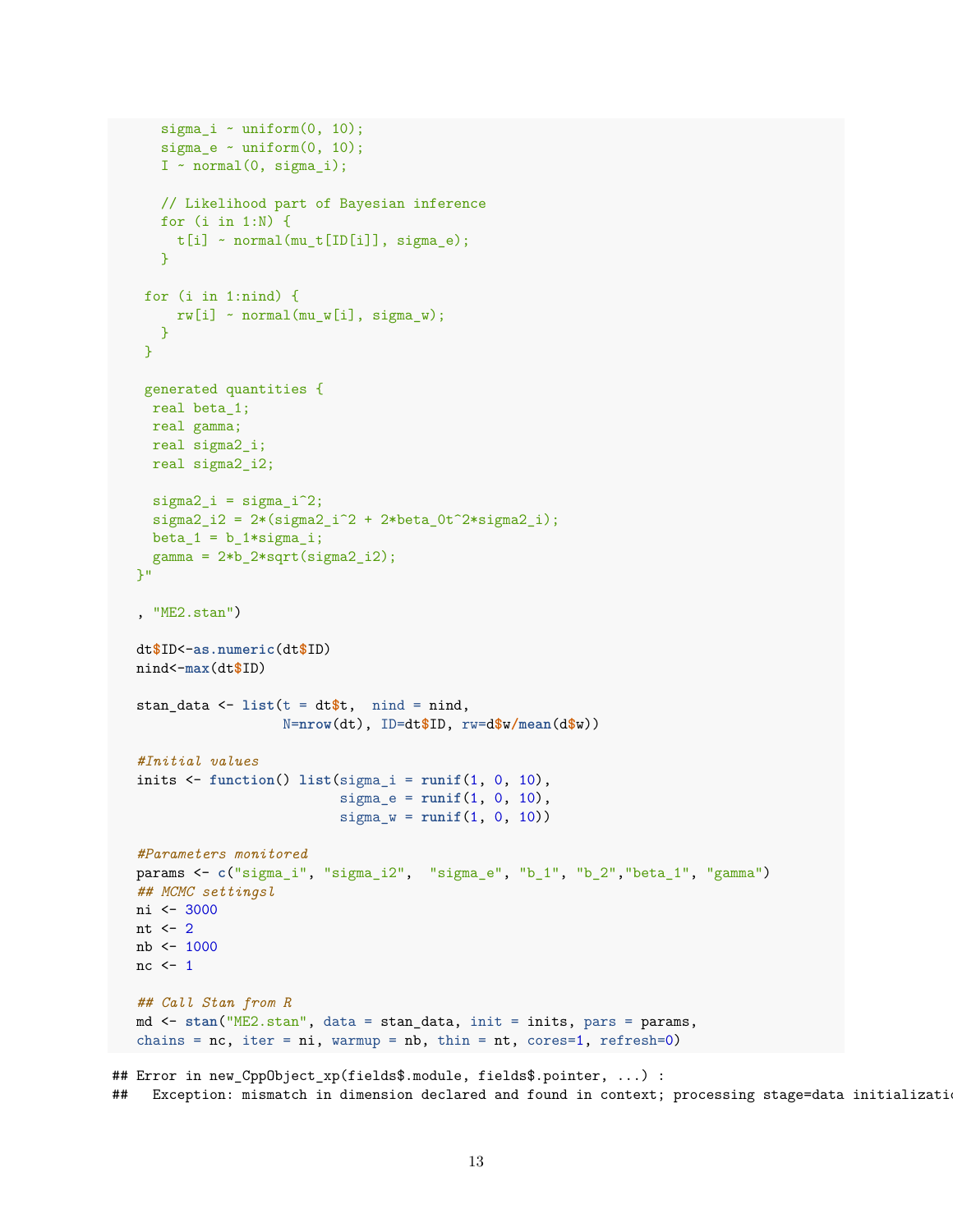```
sigma_i \sim uniform(0, 10);
      sigma_e \sim uniform(0, 10);
      I \sim normal(0, sigma_i);
     // Likelihood part of Bayesian inference
      for (i in 1:N) {
       t[i] ~ normal(mu_t[ID[i]], sigma_e);
      }
    for (i in 1:nind) {
       rw[i] ~ normal(mu_w[i], sigma_w);
     }
    }
    generated quantities {
    real beta_1;
    real gamma;
    real sigma2_i;
    real sigma2_i2;
    signa2_i = signa_i^2;sigma2_i2 = 2*(signal_1^2 + 2*beta_0t^2)*signal_1^2;beta_1 = b_1 * sigma_i;gamma = 2*b_2*sqrt(sigma2_i2);\mathcal{V} !!
   , "ME2.stan")
  dt$ID<-as.numeric(dt$ID)
  nind<-max(dt$ID)
   stan_data \leq list(t = dt$t, nind = nind,
                     N=nrow(dt), ID=dt$ID, rw=d$w/mean(d$w))
   #Initial values
   inits <- function() list(sigma_i = runif(1, 0, 10),
                             sigma_e = runif(1, 0, 10),
                             signa_w = runif(1, 0, 10))#Parameters monitored
  params <- c("sigma_i", "sigma_i2", "sigma_e", "b_1", "b_2","beta_1", "gamma")
  ## MCMC settingsl
  ni <- 3000
  nt \leftarrow 2
  nb <- 1000
  nc <- 1
  ## Call Stan from R
  md <- stan("ME2.stan", data = stan_data, init = inits, pars = params,
  chains = nc, iter = ni, warmup = nb, thin = nt, cores=1, refresh=0)
## Error in new_CppObject_xp(fields$.module, fields$.pointer, ...) :
```
## Exception: mismatch in dimension declared and found in context; processing stage=data initializati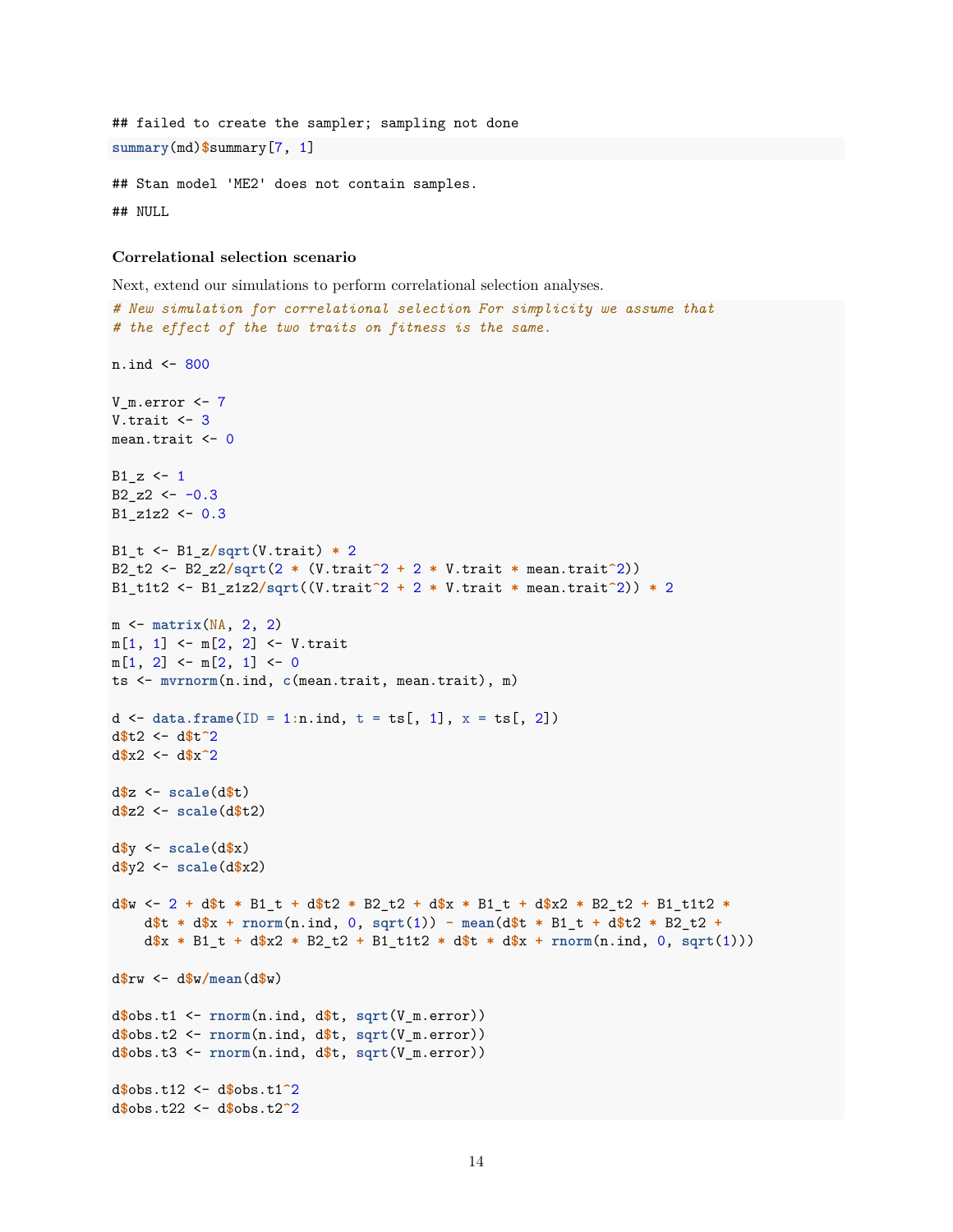```
## failed to create the sampler; sampling not done
summary(md)$summary[7, 1]
## Stan model 'ME2' does not contain samples.
```
## NULL

#### **Correlational selection scenario**

Next, extend our simulations to perform correlational selection analyses.

```
# New simulation for correlational selection For simplicity we assume that
# the effect of the two traits on fitness is the same.
n.ind <- 800
V_m.error <- 7
V.trait \leftarrow 3
mean.trait <- 0
B1 z \leftarrow 1B2_zz2 \leftarrow -0.3B1_z1z2 \leftarrow 0.3B1_t <- B1_z/sqrt(V.trait) * 2
B2_t2 <- B2_z2/sqrt(2 * (V.trait^2 + 2 * V.trait * mean.trait^2))
B1_t1t2 <- B1_z1z2/sqrt((V.trait^2 + 2 * V.trait * mean.trait^2)) * 2
m <- matrix(NA, 2, 2)
m[1, 1] <- m[2, 2] <- V.trait
m[1, 2] <- m[2, 1] <- 0
ts <- mvrnorm(n.ind, c(mean.trait, mean.trait), m)
d <- data.frame(ID = 1:n.ind, t = ts[, 1], x = ts[, 2])
d$t2 <- d$t^2
d$x2 <- d$x^2
d$z <- scale(d$t)
d$z2 <- scale(d$t2)
d$y <- scale(d$x)
d$y2 <- scale(d$x2)
d$w <- 2 + d$t * B1_t + d$t2 * B2_t2 + d$x * B1_t + d$x2 * B2_t2 + B1_t1t2 *
    d$t * d$x + rnorm(n.ind, 0, sqrt(1)) - mean(d$t * B1_t + d$t2 * B2_t2 +
    d$x * B1_t + d$x2 * B2_t2 + B1_t1t2 * d$t * d$x + rnorm(n.ind, 0, sqrt(1)))
d$rw <- d$w/mean(d$w)
d$obs.t1 <- rnorm(n.ind, d$t, sqrt(V_m.error))
d$obs.t2 <- rnorm(n.ind, d$t, sqrt(V_m.error))
d$obs.t3 <- rnorm(n.ind, d$t, sqrt(V_m.error))
d$obs.t12 <- d$obs.t1^2
d$obs.t22 <- d$obs.t2^2
```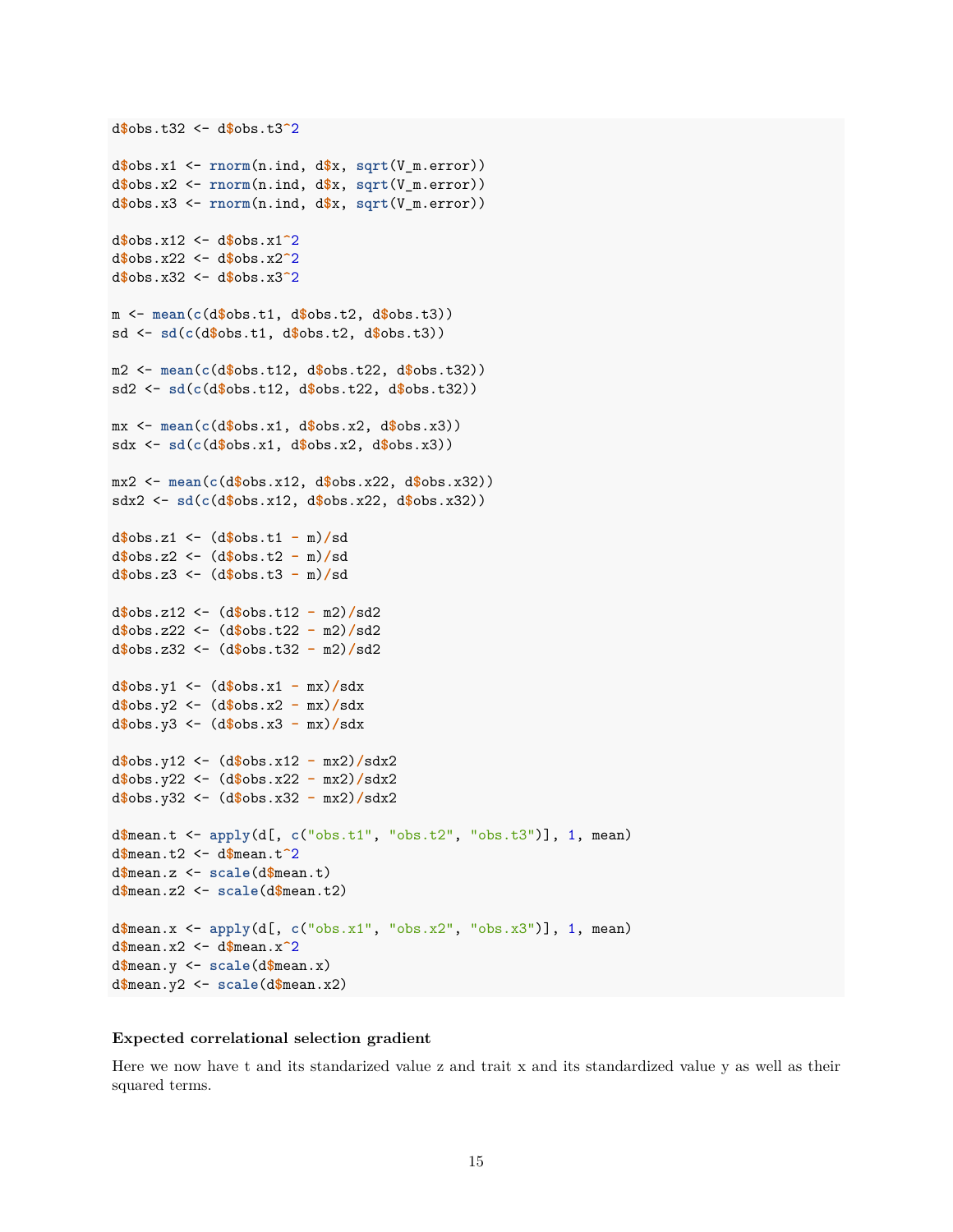```
d$obs.x1 <- rnorm(n.ind, d$x, sqrt(V_m.error))
d$obs.x2 <- rnorm(n.ind, d$x, sqrt(V_m.error))
d$obs.x3 <- rnorm(n.ind, d$x, sqrt(V_m.error))
d$obs.x12 <- d$obs.x1^2
d$obs.x22 <- d$obs.x2^2
d$obs.x32 <- d$obs.x3^2
m <- mean(c(d$obs.t1, d$obs.t2, d$obs.t3))
sd <- sd(c(d$obs.t1, d$obs.t2, d$obs.t3))
m2 <- mean(c(d$obs.t12, d$obs.t22, d$obs.t32))
sd2 <- sd(c(d$obs.t12, d$obs.t22, d$obs.t32))
mx <- mean(c(d$obs.x1, d$obs.x2, d$obs.x3))
sdx <- sd(c(d$obs.x1, d$obs.x2, d$obs.x3))
mx2 <- mean(c(d$obs.x12, d$obs.x22, d$obs.x32))
sdx2 <- sd(c(d$obs.x12, d$obs.x22, d$obs.x32))
d$obs.z1 <- (d$obs.t1 - m)/sd
d$obs.z2 <- (d$obs.t2 - m)/sd
d$obs.z3 <- (d$obs.t3 - m)/sd
d$obs.z12 <- (d$obs.t12 - m2)/sd2
d$obs.z22 <- (d$obs.t22 - m2)/sd2
d$obs.z32 <- (d$obs.t32 - m2)/sd2
d$obs.y1 <- (d$obs.x1 - mx)/sdx
d$obs.y2 <- (d$obs.x2 - mx)/sdx
d$obs.y3 <- (d$obs.x3 - mx)/sdx
d$obs.y12 <- (d$obs.x12 - mx2)/sdx2
d$obs.y22 <- (d$obs.x22 - mx2)/sdx2
d$obs.y32 <- (d$obs.x32 - mx2)/sdx2
d$mean.t <- apply(d[, c("obs.t1", "obs.t2", "obs.t3")], 1, mean)
d$mean.t2 <- d$mean.t^2
d$mean.z <- scale(d$mean.t)
d$mean.z2 <- scale(d$mean.t2)
d$mean.x <- apply(d[, c("obs.x1", "obs.x2", "obs.x3")], 1, mean)
d$mean.x2 <- d$mean.x^2
d$mean.y <- scale(d$mean.x)
d$mean.y2 <- scale(d$mean.x2)
```
#### **Expected correlational selection gradient**

d**\$**obs.t32 <- d**\$**obs.t3**^**2

Here we now have t and its standarized value z and trait x and its standardized value y as well as their squared terms.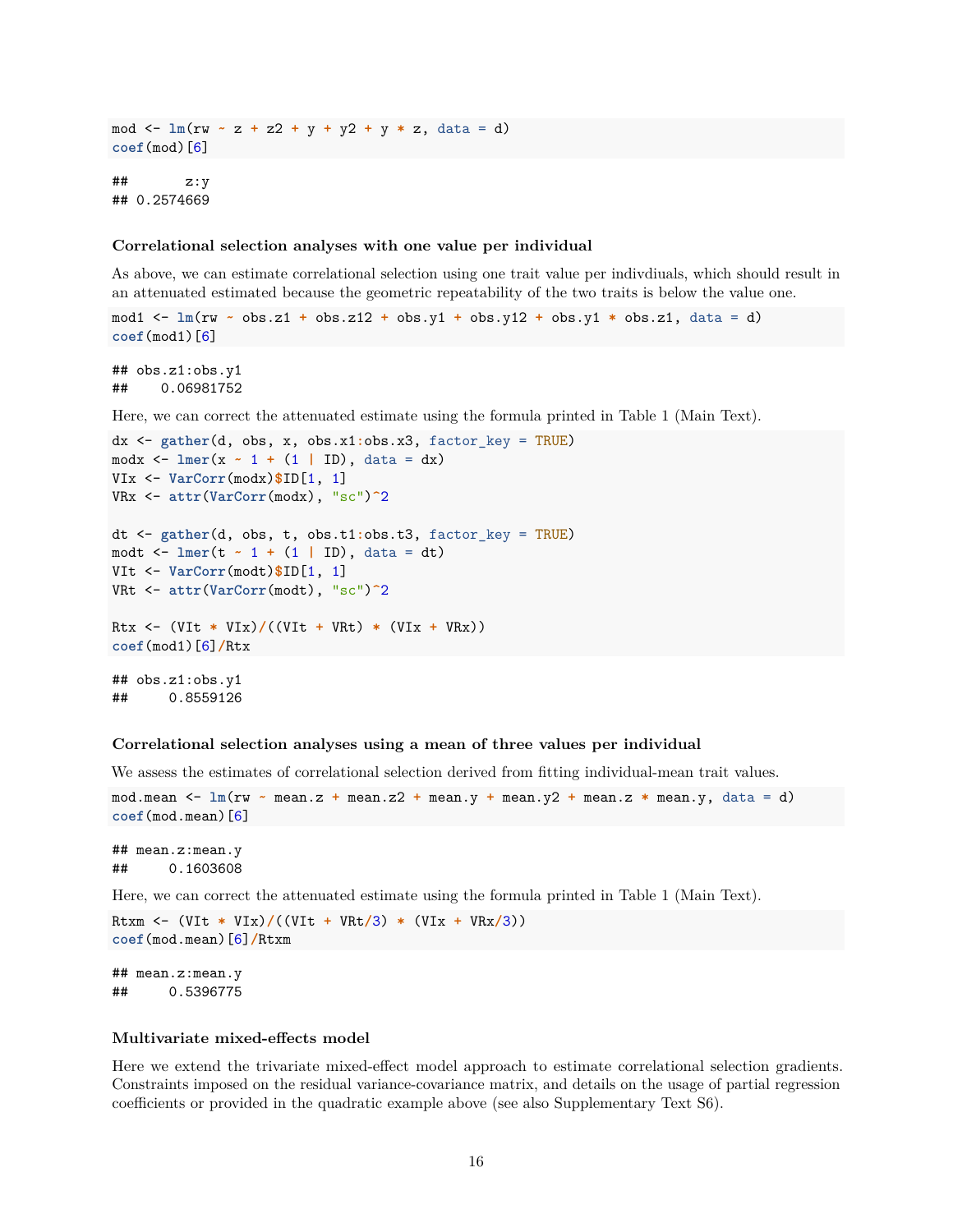mod <- **lm**(rw **~** z **+** z2 **+** y **+** y2 **+** y **\*** z, data = d) **coef**(mod)[6]

## z:y ## 0.2574669

#### **Correlational selection analyses with one value per individual**

As above, we can estimate correlational selection using one trait value per indivdiuals, which should result in an attenuated estimated because the geometric repeatability of the two traits is below the value one.

mod1 <- **lm**(rw **~** obs.z1 **+** obs.z12 **+** obs.y1 **+** obs.y12 **+** obs.y1 **\*** obs.z1, data = d) **coef**(mod1)[6]

## obs.z1:obs.y1 ## 0.06981752

Here, we can correct the attenuated estimate using the formula printed in Table 1 (Main Text).

```
dx <- gather(d, obs, x, obs.x1:obs.x3, factor_key = TRUE)
modx <- lmer(x ~ 1 + (1 | ID), data = dx)
VIx <- VarCorr(modx)$ID[1, 1]
VRx <- attr(VarCorr(modx), "sc")^2
dt <- gather(d, obs, t, obs.t1:obs.t3, factor_key = TRUE)
modt <- lmer(t ~ 1 + (1 | ID), data = dt)
VIt <- VarCorr(modt)$ID[1, 1]
VRt <- attr(VarCorr(modt), "sc")^2
Rtx <- (VIt * VIx)/((VIt + VRt) * (VIx + VRx))
coef(mod1)[6]/Rtx
## obs.z1:obs.y1
## 0.8559126
```
## **Correlational selection analyses using a mean of three values per individual**

We assess the estimates of correlational selection derived from fitting individual-mean trait values.

mod.mean <- **lm**(rw **~** mean.z **+** mean.z2 **+** mean.y **+** mean.y2 **+** mean.z **\*** mean.y, data = d) **coef**(mod.mean)[6]

## mean.z:mean.y ## 0.1603608

Here, we can correct the attenuated estimate using the formula printed in Table 1 (Main Text).

Rtxm <- (VIt **\*** VIx)**/**((VIt **+** VRt**/**3) **\*** (VIx **+** VRx**/**3)) **coef**(mod.mean)[6]**/**Rtxm

## mean.z:mean.y ## 0.5396775

#### **Multivariate mixed-effects model**

Here we extend the trivariate mixed-effect model approach to estimate correlational selection gradients. Constraints imposed on the residual variance-covariance matrix, and details on the usage of partial regression coefficients or provided in the quadratic example above (see also Supplementary Text S6).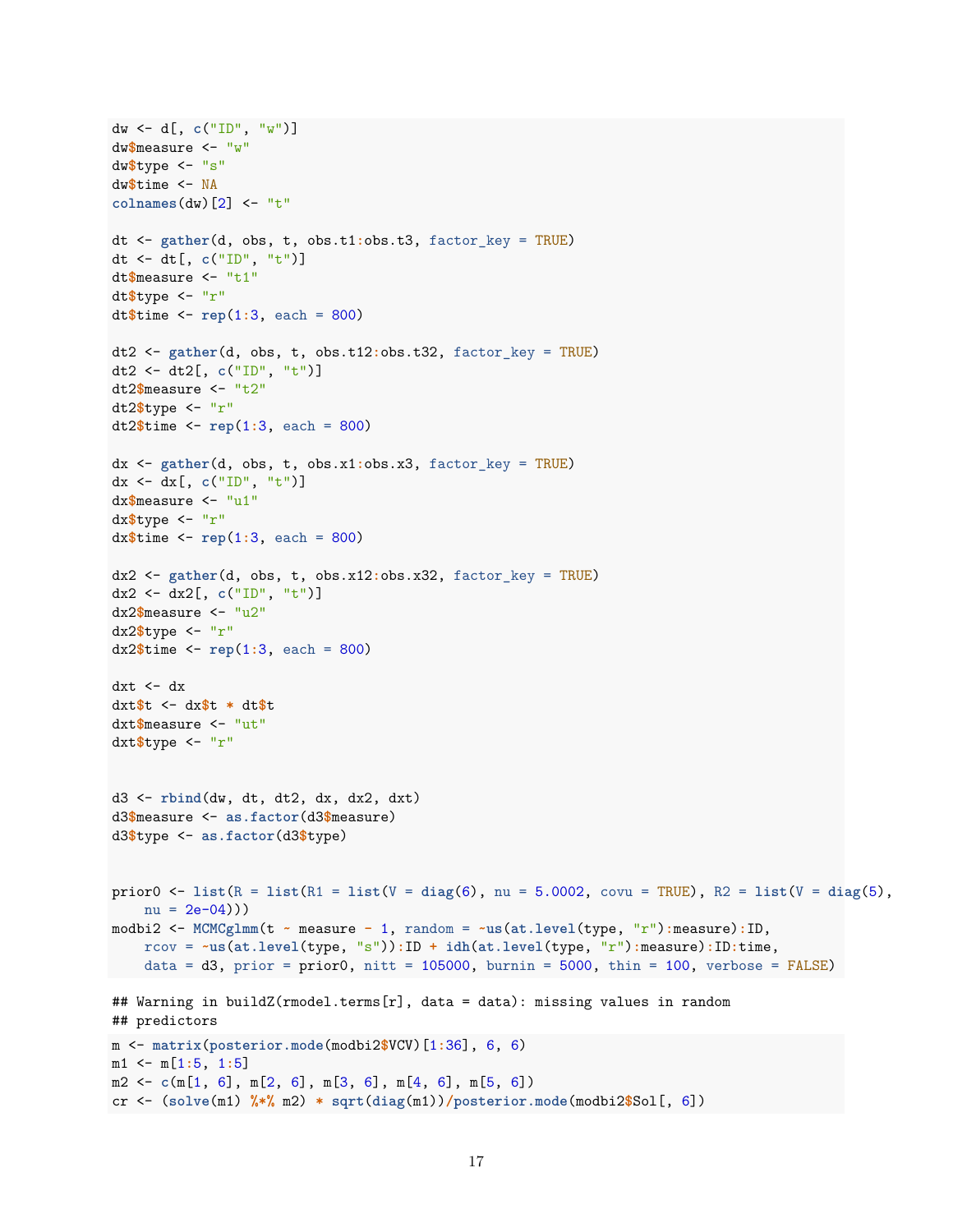```
dw <- d[, c("ID", "w")]
dw$measure <- "w"
dw$type <- "s"
dw$time <- NA
colnames(dw)[2] <- "t"
dt <- gather(d, obs, t, obs.t1:obs.t3, factor_key = TRUE)
dt <- dt[, c("ID", "t")]
dt$measure <- "t1"
dt$type <- "r"
dt$time <- rep(1:3, each = 800)
dt2 <- gather(d, obs, t, obs.t12:obs.t32, factor_key = TRUE)
dt2 <- dt2[, c("ID", "t")]
dt2$measure <- "t2"
dt2$type <- "r"
dt2$time <- rep(1:3, each = 800)
dx <- gather(d, obs, t, obs.x1:obs.x3, factor_key = TRUE)
dx <- dx[, c("ID", "t")]
dx$measure <- "u1"
dx$type <- "r"
dx$time <- rep(1:3, each = 800)
dx2 <- gather(d, obs, t, obs.x12:obs.x32, factor_key = TRUE)
dx2 <- dx2[, c("ID", "t")]
dx2$measure <- "u2"
dx2$type <- "r"
dx2$time <- rep(1:3, each = 800)
dxt <- dxdxt$t <- dx$t * dt$t
dxt$measure <- "ut"
dxt$type <- "r"
d3 <- rbind(dw, dt, dt2, dx, dx2, dxt)
d3$measure <- as.factor(d3$measure)
d3$type <- as.factor(d3$type)
prior0 <- list(R = list(R1 = list(V = diag(6), nu = 5.0002, covu = TRUE), R2 = list(V = diag(5),
    nu = 2e-04))
modbi2 <- MCMCglmm(t ~ measure - 1, random = ~us(at.level(type, "r"):measure):ID,
    rcov = ~us(at.level(type, "s")):ID + idh(at.level(type, "r"):measure):ID:time,
    data = d3, prior = prior0, nitt = 105000, burnin = 5000, thin = 100, verbose = FALSE)
## Warning in buildZ(rmodel.terms[r], data = data): missing values in random
## predictors
m <- matrix(posterior.mode(modbi2$VCV)[1:36], 6, 6)
m1 <- m[1:5, 1:5]
m2 <- c(m[1, 6], m[2, 6], m[3, 6], m[4, 6], m[5, 6])
cr <- (solve(m1) %*% m2) * sqrt(diag(m1))/posterior.mode(modbi2$Sol[, 6])
```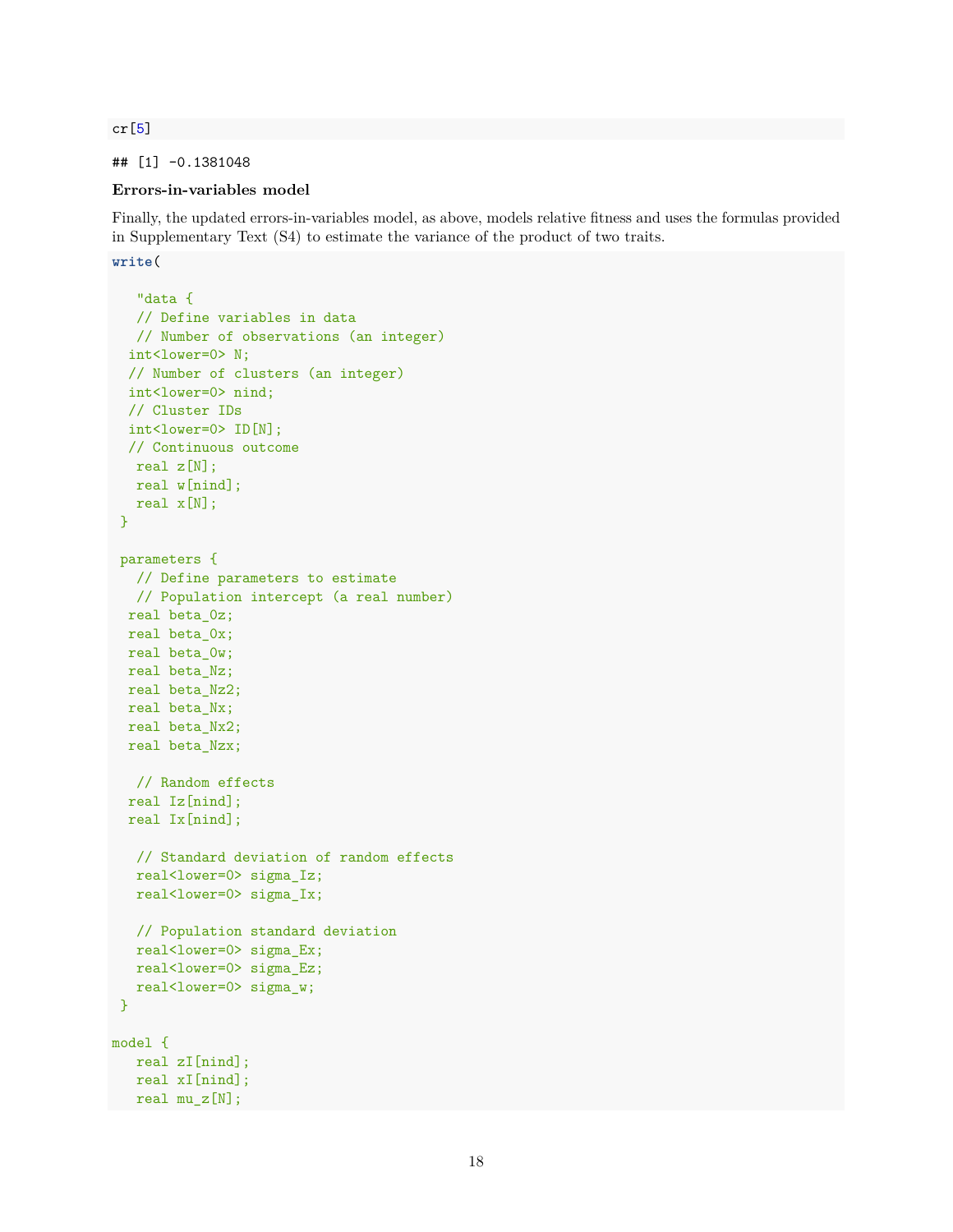cr[5]

# ## [1] -0.1381048

# **Errors-in-variables model**

Finally, the updated errors-in-variables model, as above, models relative fitness and uses the formulas provided in Supplementary Text (S4) to estimate the variance of the product of two traits.

**write**(

```
"data {
  // Define variables in data
  // Number of observations (an integer)
  int<lower=0> N;
 // Number of clusters (an integer)
  int<lower=0> nind;
  // Cluster IDs
 int<lower=0> ID[N];
 // Continuous outcome
  real z[N];
  real w[nind];
  real x[N];
}
parameters {
  // Define parameters to estimate
  // Population intercept (a real number)
 real beta_0z;
 real beta_0x;
 real beta Ow;
 real beta_Nz;
 real beta_Nz2;
 real beta_Nx;
 real beta_Nx2;
 real beta_Nzx;
  // Random effects
 real Iz[nind];
 real Ix[nind];
  // Standard deviation of random effects
  real<lower=0> sigma Iz;
  real<lower=0> sigma_Ix;
  // Population standard deviation
  real<lower=0> sigma_Ex;
  real<lower=0> sigma_Ez;
  real<lower=0> sigma_w;
}
model {
  real zI[nind];
  real xI[nind];
  real mu_z[N];
```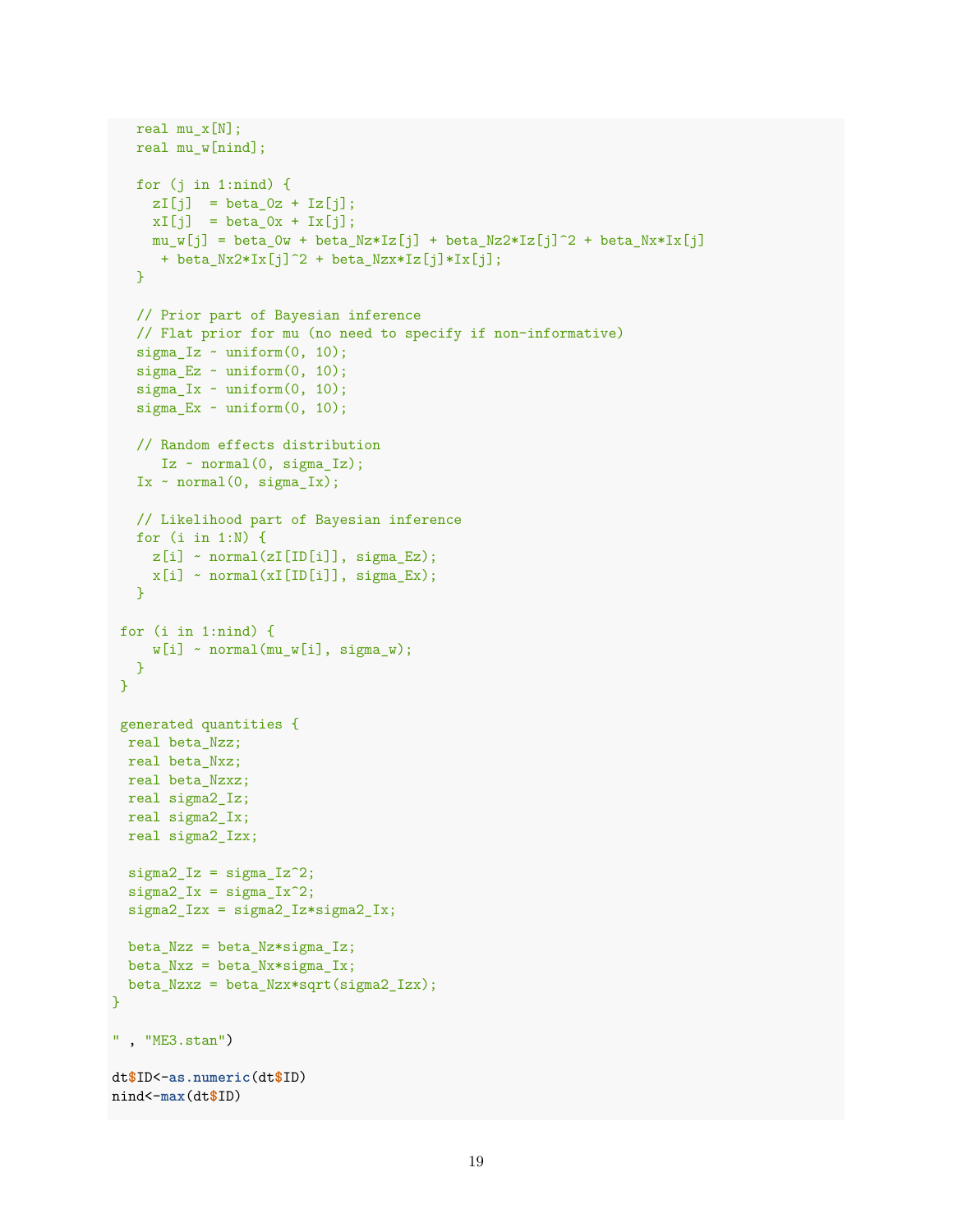```
real mu_x[N];
   real mu_w[nind];
  for (j in 1:nind) {
     zI[j] = beta_0z + Iz[j];
    xI[j] = beta_0x + Ix[j];mu_w[j] = beta_0w + beta_Nz*Iz[j] + beta_Nz2*Iz[j]^2 + beta_Nx*Ix[j]
     + beta_Nx2*Ix[j]^2 + beta_Nzx*Iz[j]*Ix[j];
   }
   // Prior part of Bayesian inference
  // Flat prior for mu (no need to specify if non-informative)
   signa_Iz \sim uniform(0, 10);sigma_Ez ~ uniform(0, 10);
   sigma_Ix \sim uniform(0, 10);
   signa<sub>_</sub>Ex ~ uniform(0, 10);
   // Random effects distribution
     Iz \sim normal(0, sigma_Iz);
   Ix \sim normal(0, sigma_Ix);// Likelihood part of Bayesian inference
  for (i in 1:N) {
    z[i] ~ normal(zI[ID[i]], sigma_Ez);
    x[i] ~ normal(xI[ID[i]], sigma_Ex);
  }
 for (i in 1:nind) {
    w[i] ~ normal(mu_w[i], sigma_w);
  }
}
 generated quantities {
 real beta_Nzz;
 real beta_Nxz;
 real beta_Nzxz;
 real sigma2_Iz;
 real sigma2_Ix;
 real sigma2_Izx;
 signa2_IZ = signa_IZ^2;signa2_Ix = signa_Ix^2;sigma2_Izx = sigma2_Iz*sigma2_Ix;
 beta_Nzz = beta_Nz*sigma_Iz;
 beta_Nxz = beta_Nx*sigma_Lx;beta_Nzxz = beta_Nzx*sqrt(sigma2_Izx);
}
" , "ME3.stan")
dt$ID<-as.numeric(dt$ID)
nind<-max(dt$ID)
```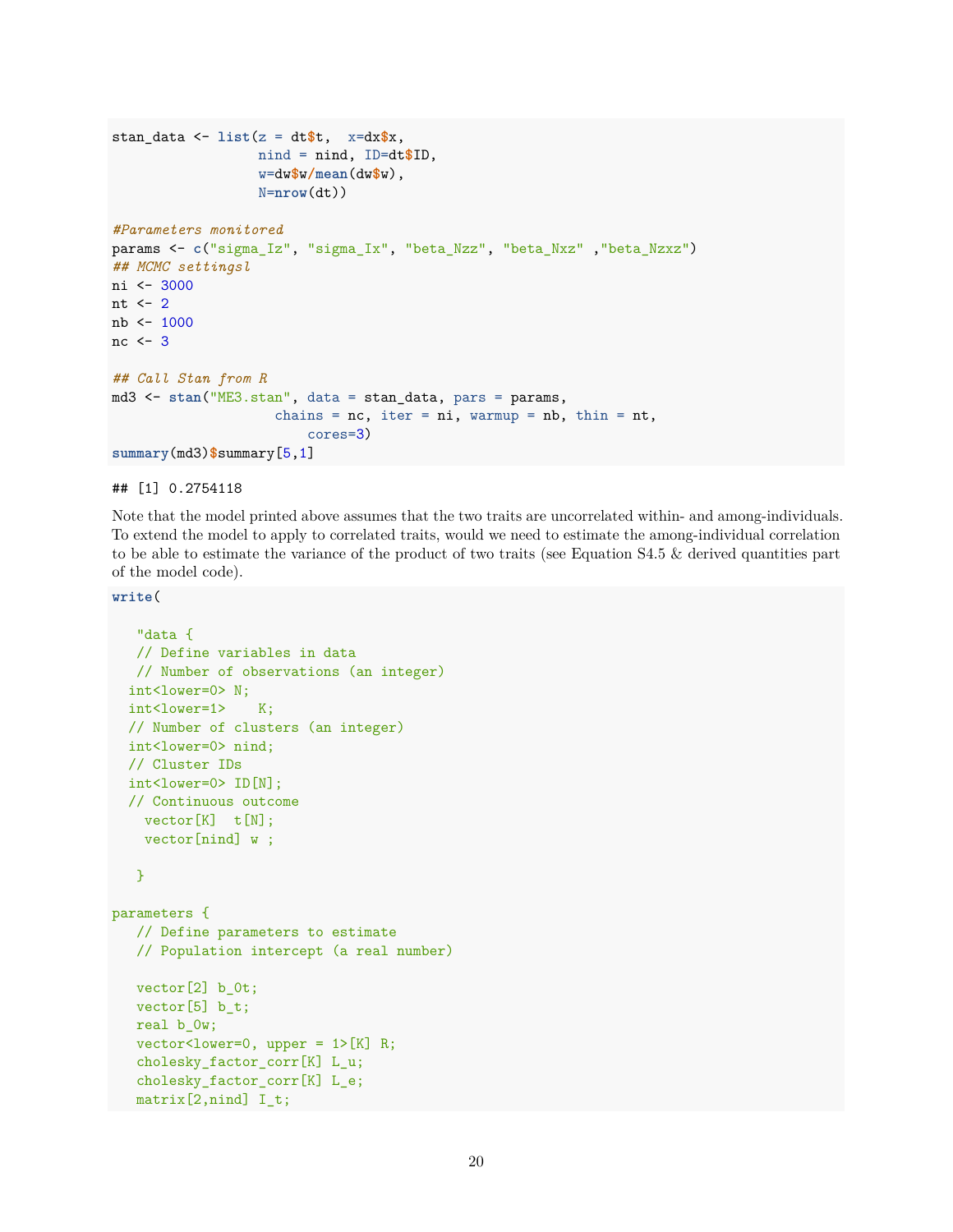```
stan_data <- list(z = dt$t, x=dx$x,
                  nind = nind, ID=dt$ID,
                  w=dw$w/mean(dw$w),
                  N=nrow(dt))
#Parameters monitored
params <- c("sigma_Iz", "sigma_Ix", "beta_Nzz", "beta_Nxz" ,"beta_Nzxz")
## MCMC settingsl
ni <- 3000
nt <-2nb <- 1000
nc \leftarrow 3## Call Stan from R
md3 <- stan("ME3.stan", data = stan_data, pars = params,
                    chains = nc, iter = ni, warmup = nb, thin = nt,
                         cores=3)
summary(md3)$summary[5,1]
```
## [1] 0.2754118

Note that the model printed above assumes that the two traits are uncorrelated within- and among-individuals. To extend the model to apply to correlated traits, would we need to estimate the among-individual correlation to be able to estimate the variance of the product of two traits (see Equation S4.5 & derived quantities part of the model code).

**write**(

```
"data {
  // Define variables in data
  // Number of observations (an integer)
  int<lower=0> N;
  int<lower=1> K;
  // Number of clusters (an integer)
  int<lower=0> nind;
  // Cluster IDs
  int<lower=0> ID[N];
  // Continuous outcome
   vector[K] t[N];
   vector[nind] w ;
   }
parameters {
  // Define parameters to estimate
   // Population intercept (a real number)
  vector[2] b_0t;
  vector[5] b_t;
  real b_0w;
  vector<1ower=0, upper = 1>[K] R;
   cholesky_factor_corr[K] L_u;
   cholesky_factor_corr[K] L_e;
   matrix[2,nind] I_t;
```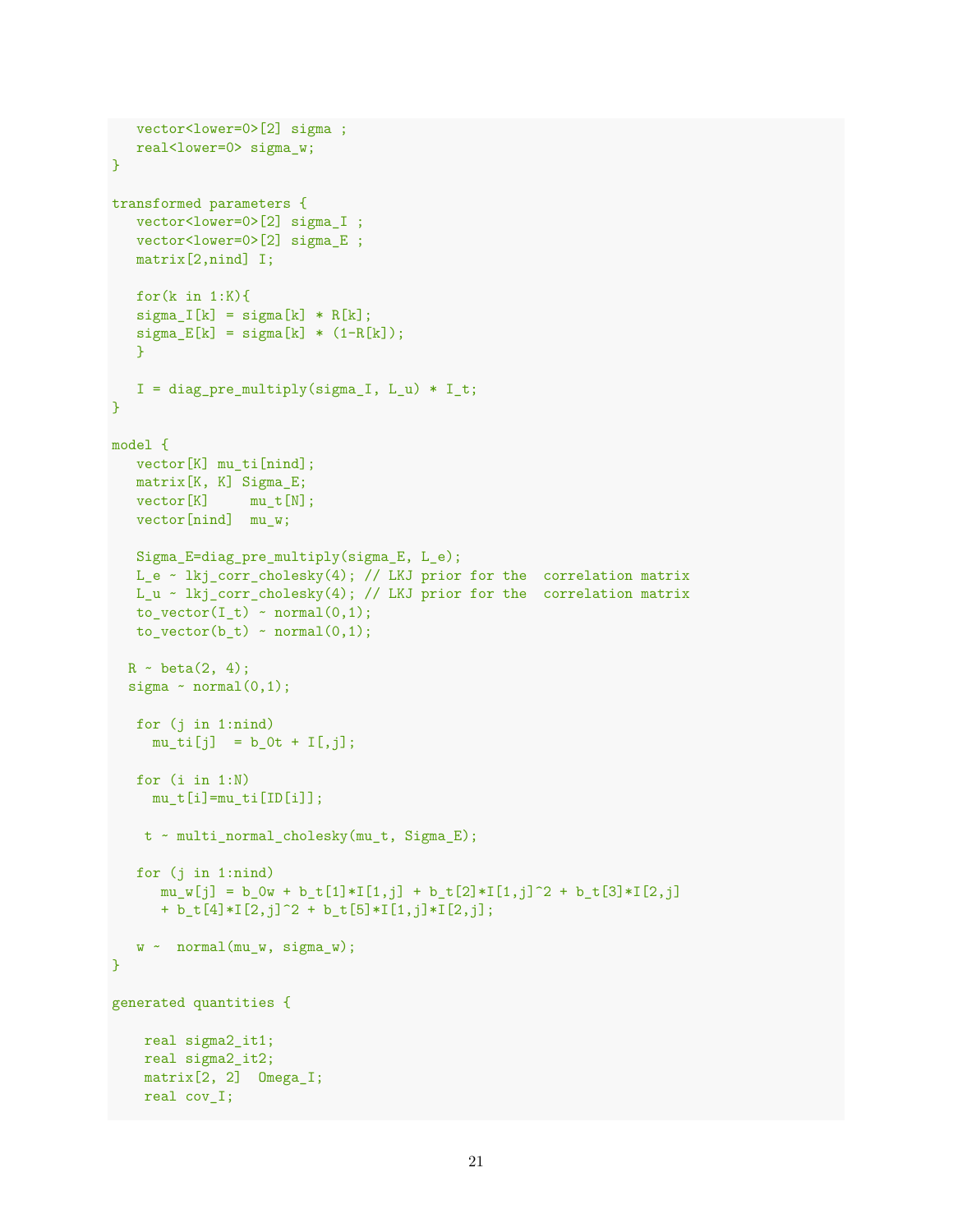```
vector<lower=0>[2] sigma ;
  real<lower=0> sigma_w;
}
transformed parameters {
  vector<lower=0>[2] sigma_I ;
  vector<lower=0>[2] sigma_E ;
  matrix[2,nind] I;
  for(k \in 1:K){
  signa_I[k] = signa[k] * R[k];signa_E[k] = signa[k] * (1-R[k]);}
  I = diag\_pre\_multiply(sigma_I, L_u) * I_t;}
model {
  vector[K] mu_ti[nind];
  matrix[K, K] Sigma_E;
  vector[K] mut[N];
  vector[nind] mu_w;
  Sigma_E=diag_pre_multiply(sigma_E, L_e);
  L_e ~ lkj_corr_cholesky(4); // LKJ prior for the correlation matrix
  L_u ~ lkj_corr_cholesky(4); // LKJ prior for the correlation matrix
  to\_vector(I_t) ~ normal(0,1);
  to\_vector(b_t) ~ normal(0,1);
  R - beta(2, 4);sigma \sim normal(0,1);
  for (j in 1:nind)
    mu_t[i] = b_0t + I[, j];for (i in 1:N)
    mu_t[i] = mu_t[i[ID[i]];t ~ multi_normal_cholesky(mu_t, Sigma_E);
   for (j in 1:nind)
     mu_w[j] = b_0w + b_t[1]*I[1,j] + b_t[2]*I[1,j]^2 + b_t[3]*I[2,j]+ b_t[4]*I[2,j]^2 + b_t[5]*I[1,j]*I[2,j];w \sim normal(mu_w, sigma_w);
}
generated quantities {
   real sigma2_it1;
   real sigma2_it2;
   matrix[2, 2] Omega_I;
   real cov_I;
```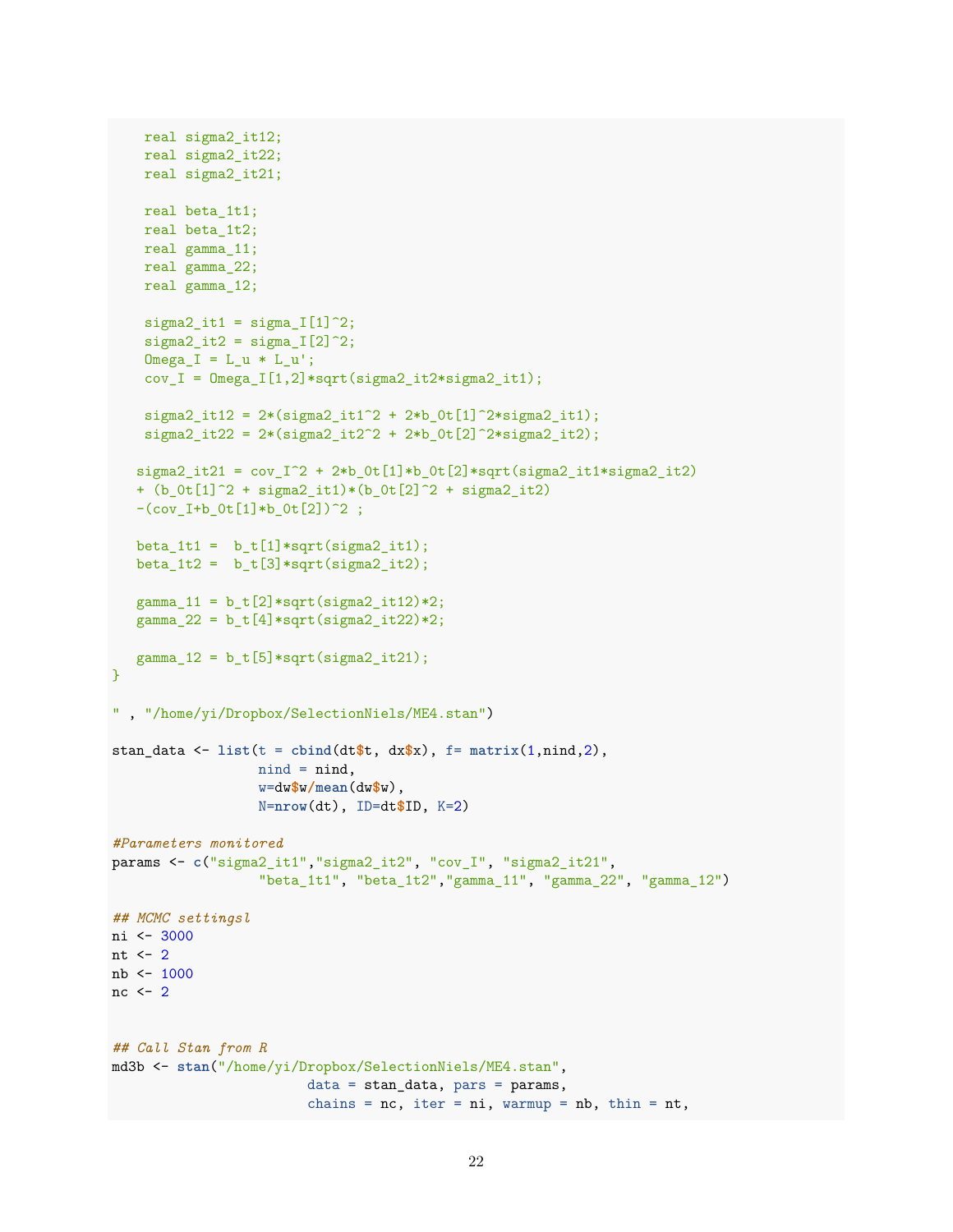```
real sigma2_it12;
    real sigma2_it22;
   real sigma2_it21;
   real beta_1t1;
    real beta_1t2;
   real gamma_11;
   real gamma_22;
    real gamma_12;
    signal_1t1 = sigma_1[1]<sup>2</sup>;
    signal_1t2 = signal_1[2]<sup>2</sup>;
    Omega_I = L_u * L_u';cov_I = Omega_I[1,2]*sqrt(sigma_2_it2*sinma_2-it1);signa2_it12 = 2*(signa2_it1^2 + 2*b_0t[1]^2)*signa2_it1);signa2_it22 = 2*(signa2_it2^2 + 2*b_0t[2]^2*sinma2_it2);signa2_it21 = cov_1^2 + 2*b_0t[1]*b_0t[2]*sqrt(sigma2_it1**sigma2_it2)+ (b_0t[1]^2 + signa2_it1)*(b_0t[2]^2 + signa2_it2)-(cov_I+b_Ot[1]*b_Ot[2])^2 ;
   beta_1t1 = b_t[1]*sqrt(sigma_1it1);beta_1t2 = b_t[3]*sqrt(sigma_1it2);gamma_11 = b_t[2]*sqrt(sigma_1*t2)*2;gamma_22 = b_t[4]*sqrt(sigma_2it2)*2;gamma_12 = b_t[5]*sqrt(sigma_1*t21);}
" , "/home/yi/Dropbox/SelectionNiels/ME4.stan")
stan_data <- list(t = \text{cbind}(dt * t, dx * x), f = matrix(1, \text{nind}, 2),nind = nind,
                  w=dw$w/mean(dw$w),
                  N=nrow(dt), ID=dt$ID, K=2)
#Parameters monitored
params <- c("sigma2_it1","sigma2_it2", "cov_I", "sigma2_it21",
                  "beta_1t1", "beta_1t2","gamma_11", "gamma_22", "gamma_12")
## MCMC settingsl
ni <- 3000
nt \leftarrow 2
nb <- 1000
nc \leq 2
## Call Stan from R
md3b <- stan("/home/yi/Dropbox/SelectionNiels/ME4.stan",
                         data = stan_data, pars = params,
                         chains = nc, iter = ni, warmup = nb, thin = nt,
```